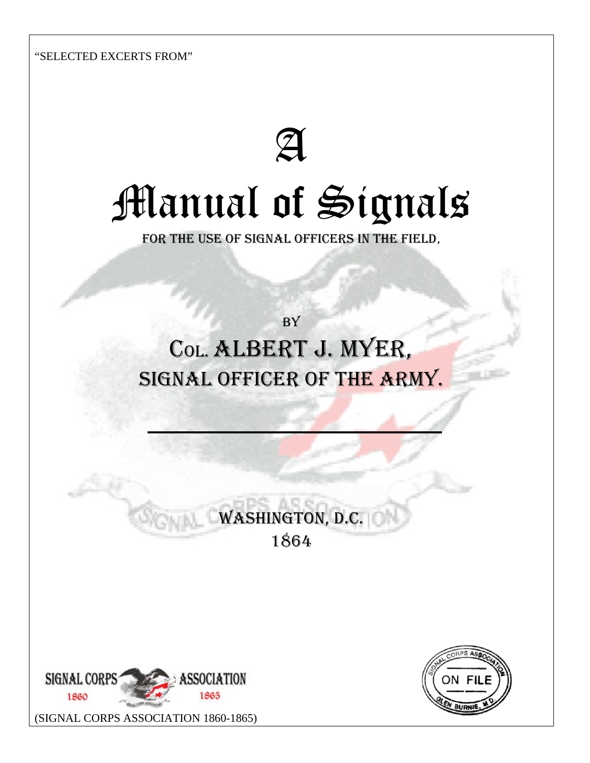"SELECTED EXCERTS FROM"

# ${\mathfrak A}$ Manual of Signals

FOR THE USE OF SIGNAL OFFICERS IN THE FIELD,

**BY** COL. ALBERT J. MYER, SIGNAL OFFICER OF THE ARMY.

> WASHINGTON, D.C. 1864



[\(SIGNAL CORPS ASSOCIATION 1860-1865\)](www.civilwarsignals.org) 

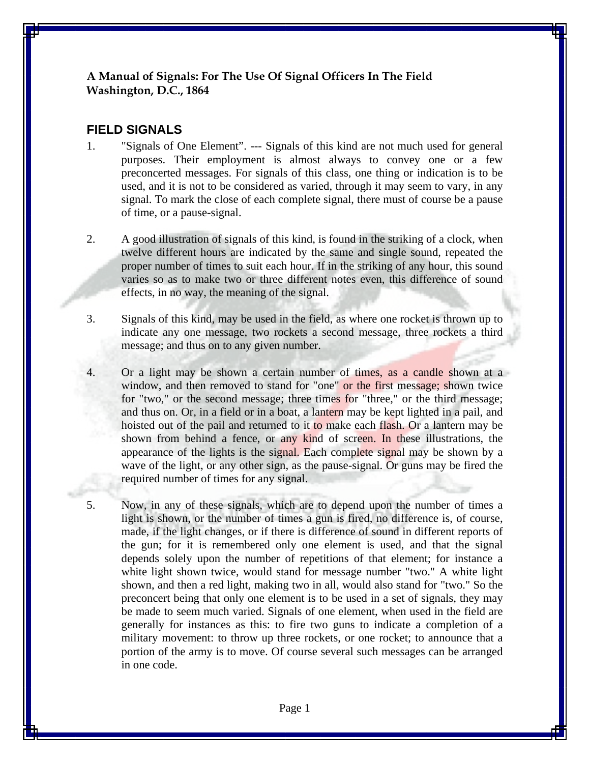#### **A Manual of Signals: For The Use Of Signal Officers In The Field Washington, D.C., 1864**

## **FIELD SIGNALS**

- 1. "Signals of One Element". --- Signals of this kind are not much used for general purposes. Their employment is almost always to convey one or a few preconcerted messages. For signals of this class, one thing or indication is to be used, and it is not to be considered as varied, through it may seem to vary, in any signal. To mark the close of each complete signal, there must of course be a pause of time, or a pause-signal.
- 2. A good illustration of signals of this kind, is found in the striking of a clock, when twelve different hours are indicated by the same and single sound, repeated the proper number of times to suit each hour. If in the striking of any hour, this sound varies so as to make two or three different notes even, this difference of sound effects, in no way, the meaning of the signal.
- 3. Signals of this kind, may be used in the field, as where one rocket is thrown up to indicate any one message, two rockets a second message, three rockets a third message; and thus on to any given number.
- 4. Or a light may be shown a certain number of times, as a candle shown at a window, and then removed to stand for "one" or the first message; shown twice for "two," or the second message; three times for "three," or the third message; and thus on. Or, in a field or in a boat, a lantern may be kept lighted in a pail, and hoisted out of the pail and returned to it to make each flash. Or a lantern may be shown from behind a fence, or any kind of screen. In these illustrations, the appearance of the lights is the signal. Each complete signal may be shown by a wave of the light, or any other sign, as the pause-signal. Or guns may be fired the required number of times for any signal.
- 5. Now, in any of these signals, which are to depend upon the number of times a light is shown, or the number of times a gun is fired, no difference is, of course, made, if the light changes, or if there is difference of sound in different reports of the gun; for it is remembered only one element is used, and that the signal depends solely upon the number of repetitions of that element; for instance a white light shown twice, would stand for message number "two." A white light shown, and then a red light, making two in all, would also stand for "two." So the preconcert being that only one element is to be used in a set of signals, they may be made to seem much varied. Signals of one element, when used in the field are generally for instances as this: to fire two guns to indicate a completion of a military movement: to throw up three rockets, or one rocket; to announce that a portion of the army is to move. Of course several such messages can be arranged in one code.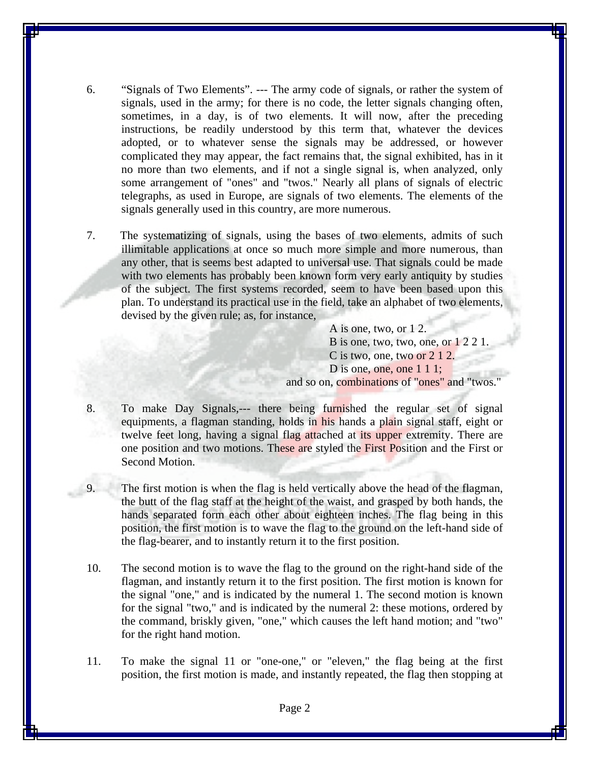- 6. "Signals of Two Elements". --- The army code of signals, or rather the system of signals, used in the army; for there is no code, the letter signals changing often, sometimes, in a day, is of two elements. It will now, after the preceding instructions, be readily understood by this term that, whatever the devices adopted, or to whatever sense the signals may be addressed, or however complicated they may appear, the fact remains that, the signal exhibited, has in it no more than two elements, and if not a single signal is, when analyzed, only some arrangement of "ones" and "twos." Nearly all plans of signals of electric telegraphs, as used in Europe, are signals of two elements. The elements of the signals generally used in this country, are more numerous.
- 7. The systematizing of signals, using the bases of two elements, admits of such illimitable applications at once so much more simple and more numerous, than any other, that is seems best adapted to universal use. That signals could be made with two elements has probably been known form very early antiquity by studies of the subject. The first systems recorded, seem to have been based upon this plan. To understand its practical use in the field, take an alphabet of two elements, devised by the given rule; as, for instance,

 A is one, two, or 1 2. B is one, two, two, one, or 1 2 2 1. C is two, one, two or 2 1 2. D is one, one, one 1 1 1; and so on, combinations of "ones" and "twos."

- 8. To make Day Signals,--- there being furnished the regular set of signal equipments, a flagman standing, holds in his hands a plain signal staff, eight or twelve feet long, having a signal flag attached at its upper extremity. There are one position and two motions. These are styled the First Position and the First or Second Motion.
- 9. The first motion is when the flag is held vertically above the head of the flagman, the butt of the flag staff at the height of the waist, and grasped by both hands, the hands separated form each other about eighteen inches. The flag being in this position, the first motion is to wave the flag to the ground on the left-hand side of the flag-bearer, and to instantly return it to the first position.
- 10. The second motion is to wave the flag to the ground on the right-hand side of the flagman, and instantly return it to the first position. The first motion is known for the signal "one," and is indicated by the numeral 1. The second motion is known for the signal "two," and is indicated by the numeral 2: these motions, ordered by the command, briskly given, "one," which causes the left hand motion; and "two" for the right hand motion.
- 11. To make the signal 11 or "one-one," or "eleven," the flag being at the first position, the first motion is made, and instantly repeated, the flag then stopping at

Page 2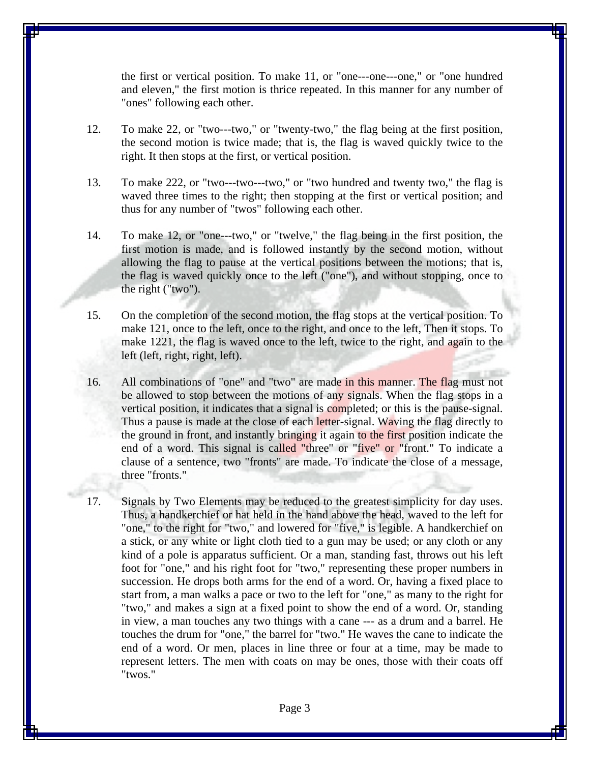the first or vertical position. To make 11, or "one---one---one," or "one hundred and eleven," the first motion is thrice repeated. In this manner for any number of "ones" following each other.

- 12. To make 22, or "two---two," or "twenty-two," the flag being at the first position, the second motion is twice made; that is, the flag is waved quickly twice to the right. It then stops at the first, or vertical position.
- 13. To make 222, or "two---two---two," or "two hundred and twenty two," the flag is waved three times to the right; then stopping at the first or vertical position; and thus for any number of "twos" following each other.
- 14. To make 12, or "one---two," or "twelve," the flag being in the first position, the first motion is made, and is followed instantly by the second motion, without allowing the flag to pause at the vertical positions between the motions; that is, the flag is waved quickly once to the left ("one"), and without stopping, once to the right ("two").
- 15. On the completion of the second motion, the flag stops at the vertical position. To make 121, once to the left, once to the right, and once to the left, Then it stops. To make 1221, the flag is waved once to the left, twice to the right, and again to the left (left, right, right, left).
- 16. All combinations of "one" and "two" are made in this manner. The flag must not be allowed to stop between the motions of any signals. When the flag stops in a vertical position, it indicates that a signal is completed; or this is the pause-signal. Thus a pause is made at the close of each letter-signal. Waving the flag directly to the ground in front, and instantly bringing it again to the first position indicate the end of a word. This signal is called "three" or "five" or "front." To indicate a clause of a sentence, two "fronts" are made. To indicate the close of a message, three "fronts."
- 17. Signals by Two Elements may be reduced to the greatest simplicity for day uses. Thus, a handkerchief or hat held in the hand above the head, waved to the left for "one," to the right for "two," and lowered for "five," is legible. A handkerchief on a stick, or any white or light cloth tied to a gun may be used; or any cloth or any kind of a pole is apparatus sufficient. Or a man, standing fast, throws out his left foot for "one," and his right foot for "two," representing these proper numbers in succession. He drops both arms for the end of a word. Or, having a fixed place to start from, a man walks a pace or two to the left for "one," as many to the right for "two," and makes a sign at a fixed point to show the end of a word. Or, standing in view, a man touches any two things with a cane --- as a drum and a barrel. He touches the drum for "one," the barrel for "two." He waves the cane to indicate the end of a word. Or men, places in line three or four at a time, may be made to represent letters. The men with coats on may be ones, those with their coats off "twos."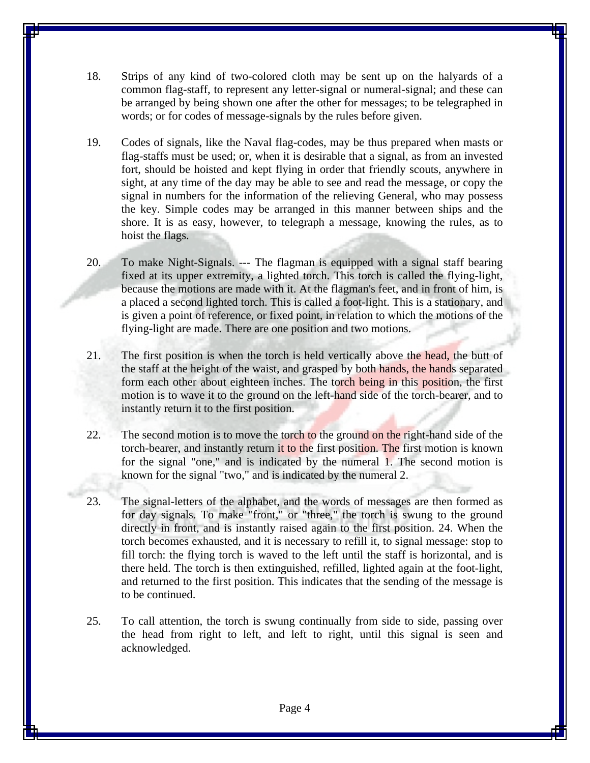- 18. Strips of any kind of two-colored cloth may be sent up on the halyards of a common flag-staff, to represent any letter-signal or numeral-signal; and these can be arranged by being shown one after the other for messages; to be telegraphed in words; or for codes of message-signals by the rules before given.
- 19. Codes of signals, like the Naval flag-codes, may be thus prepared when masts or flag-staffs must be used; or, when it is desirable that a signal, as from an invested fort, should be hoisted and kept flying in order that friendly scouts, anywhere in sight, at any time of the day may be able to see and read the message, or copy the signal in numbers for the information of the relieving General, who may possess the key. Simple codes may be arranged in this manner between ships and the shore. It is as easy, however, to telegraph a message, knowing the rules, as to hoist the flags.
- 20. To make Night-Signals. --- The flagman is equipped with a signal staff bearing fixed at its upper extremity, a lighted torch. This torch is called the flying-light, because the motions are made with it. At the flagman's feet, and in front of him, is a placed a second lighted torch. This is called a foot-light. This is a stationary, and is given a point of reference, or fixed point, in relation to which the motions of the flying-light are made. There are one position and two motions.
- 21. The first position is when the torch is held vertically above the head, the butt of the staff at the height of the waist, and grasped by both hands, the hands separated form each other about eighteen inches. The torch being in this position, the first motion is to wave it to the ground on the left-hand side of the torch-bearer, and to instantly return it to the first position.
- 22. The second motion is to move the torch to the ground on the right-hand side of the torch-bearer, and instantly return it to the first position. The first motion is known for the signal "one," and is indicated by the numeral 1. The second motion is known for the signal "two," and is indicated by the numeral 2.
- 23. The signal-letters of the alphabet, and the words of messages are then formed as for day signals. To make "front," or "three," the torch is swung to the ground directly in front, and is instantly raised again to the first position. 24. When the torch becomes exhausted, and it is necessary to refill it, to signal message: stop to fill torch: the flying torch is waved to the left until the staff is horizontal, and is there held. The torch is then extinguished, refilled, lighted again at the foot-light, and returned to the first position. This indicates that the sending of the message is to be continued.
- 25. To call attention, the torch is swung continually from side to side, passing over the head from right to left, and left to right, until this signal is seen and acknowledged.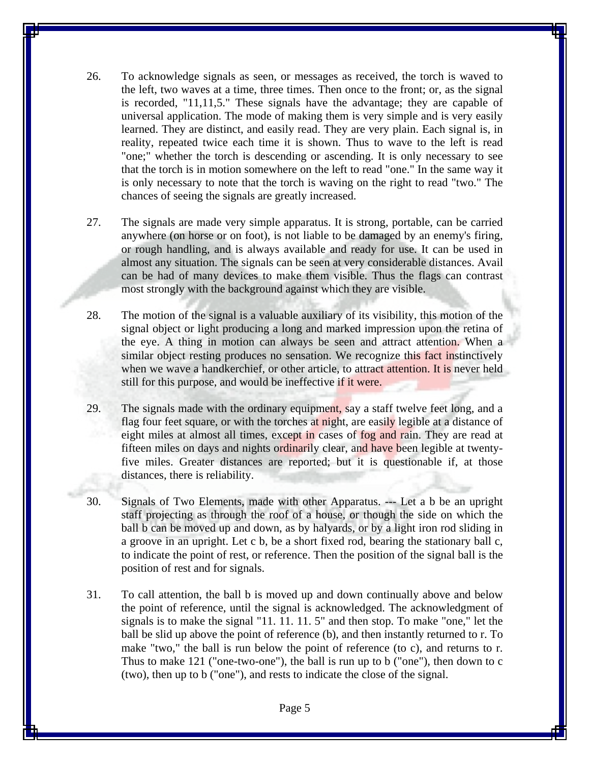- 26. To acknowledge signals as seen, or messages as received, the torch is waved to the left, two waves at a time, three times. Then once to the front; or, as the signal is recorded, "11,11,5." These signals have the advantage; they are capable of universal application. The mode of making them is very simple and is very easily learned. They are distinct, and easily read. They are very plain. Each signal is, in reality, repeated twice each time it is shown. Thus to wave to the left is read "one;" whether the torch is descending or ascending. It is only necessary to see that the torch is in motion somewhere on the left to read "one." In the same way it is only necessary to note that the torch is waving on the right to read "two." The chances of seeing the signals are greatly increased.
- 27. The signals are made very simple apparatus. It is strong, portable, can be carried anywhere (on horse or on foot), is not liable to be damaged by an enemy's firing, or rough handling, and is always available and ready for use. It can be used in almost any situation. The signals can be seen at very considerable distances. Avail can be had of many devices to make them visible. Thus the flags can contrast most strongly with the background against which they are visible.
- 28. The motion of the signal is a valuable auxiliary of its visibility, this motion of the signal object or light producing a long and marked impression upon the retina of the eye. A thing in motion can always be seen and attract attention. When a similar object resting produces no sensation. We recognize this fact instinctively when we wave a handkerchief, or other article, to attract attention. It is never held still for this purpose, and would be ineffective if it were.
- 29. The signals made with the ordinary equipment, say a staff twelve feet long, and a flag four feet square, or with the torches at night, are easily legible at a distance of eight miles at almost all times, except in cases of fog and rain. They are read at fifteen miles on days and nights ordinarily clear, and have been legible at twentyfive miles. Greater distances are reported; but it is questionable if, at those distances, there is reliability.
- 30. Signals of Two Elements, made with other Apparatus. --- Let a b be an upright staff projecting as through the roof of a house, or though the side on which the ball b can be moved up and down, as by halyards, or by a light iron rod sliding in a groove in an upright. Let c b, be a short fixed rod, bearing the stationary ball c, to indicate the point of rest, or reference. Then the position of the signal ball is the position of rest and for signals.
- 31. To call attention, the ball b is moved up and down continually above and below the point of reference, until the signal is acknowledged. The acknowledgment of signals is to make the signal "11. 11. 11. 5" and then stop. To make "one," let the ball be slid up above the point of reference (b), and then instantly returned to r. To make "two," the ball is run below the point of reference (to c), and returns to r. Thus to make 121 ("one-two-one"), the ball is run up to b ("one"), then down to c (two), then up to b ("one"), and rests to indicate the close of the signal.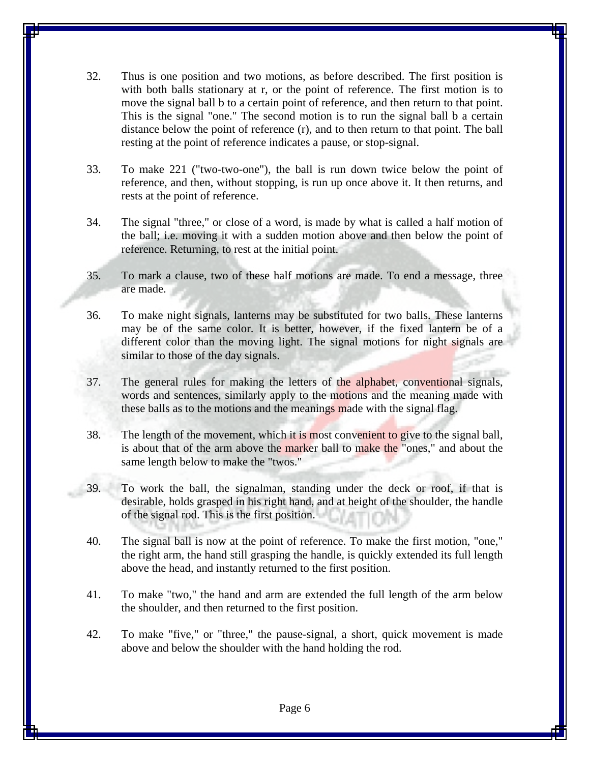- 32. Thus is one position and two motions, as before described. The first position is with both balls stationary at r, or the point of reference. The first motion is to move the signal ball b to a certain point of reference, and then return to that point. This is the signal "one." The second motion is to run the signal ball b a certain distance below the point of reference (r), and to then return to that point. The ball resting at the point of reference indicates a pause, or stop-signal.
- 33. To make 221 ("two-two-one"), the ball is run down twice below the point of reference, and then, without stopping, is run up once above it. It then returns, and rests at the point of reference.
- 34. The signal "three," or close of a word, is made by what is called a half motion of the ball; i.e. moving it with a sudden motion above and then below the point of reference. Returning, to rest at the initial point.
- 35. To mark a clause, two of these half motions are made. To end a message, three are made.
- 36. To make night signals, lanterns may be substituted for two balls. These lanterns may be of the same color. It is better, however, if the fixed lantern be of a different color than the moving light. The signal motions for night signals are similar to those of the day signals.
- 37. The general rules for making the letters of the alphabet, conventional signals, words and sentences, similarly apply to the motions and the meaning made with these balls as to the motions and the meanings made with the signal flag.
- 38. The length of the movement, which it is most convenient to give to the signal ball, is about that of the arm above the marker ball to make the "ones," and about the same length below to make the "twos."
- 39. To work the ball, the signalman, standing under the deck or roof, if that is desirable, holds grasped in his right hand, and at height of the shoulder, the handle of the signal rod. This is the first position.
- 40. The signal ball is now at the point of reference. To make the first motion, "one," the right arm, the hand still grasping the handle, is quickly extended its full length above the head, and instantly returned to the first position.
- 41. To make "two," the hand and arm are extended the full length of the arm below the shoulder, and then returned to the first position.
- 42. To make "five," or "three," the pause-signal, a short, quick movement is made above and below the shoulder with the hand holding the rod.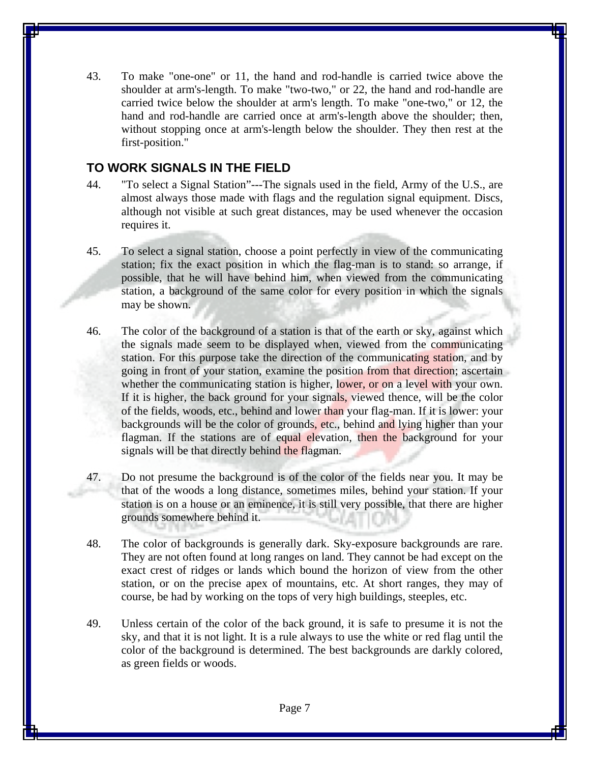43. To make "one-one" or 11, the hand and rod-handle is carried twice above the shoulder at arm's-length. To make "two-two," or 22, the hand and rod-handle are carried twice below the shoulder at arm's length. To make "one-two," or 12, the hand and rod-handle are carried once at arm's-length above the shoulder; then, without stopping once at arm's-length below the shoulder. They then rest at the first-position."

#### **TO WORK SIGNALS IN THE FIELD**

- 44. "To select a Signal Station"---The signals used in the field, Army of the U.S., are almost always those made with flags and the regulation signal equipment. Discs, although not visible at such great distances, may be used whenever the occasion requires it.
- 45. To select a signal station, choose a point perfectly in view of the communicating station; fix the exact position in which the flag-man is to stand: so arrange, if possible, that he will have behind him, when viewed from the communicating station, a background of the same color for every position in which the signals may be shown.
- 46. The color of the background of a station is that of the earth or sky, against which the signals made seem to be displayed when, viewed from the communicating station. For this purpose take the direction of the communicating station, and by going in front of your station, examine the position from that direction; ascertain whether the communicating station is higher, lower, or on a level with your own. If it is higher, the back ground for your signals, viewed thence, will be the color of the fields, woods, etc., behind and lower than your flag-man. If it is lower: your backgrounds will be the color of grounds, etc., behind and lying higher than your flagman. If the stations are of equal elevation, then the background for your signals will be that directly behind the flagman.
- 47. Do not presume the background is of the color of the fields near you. It may be that of the woods a long distance, sometimes miles, behind your station. If your station is on a house or an eminence, it is still very possible, that there are higher grounds somewhere behind it.
- 48. The color of backgrounds is generally dark. Sky-exposure backgrounds are rare. They are not often found at long ranges on land. They cannot be had except on the exact crest of ridges or lands which bound the horizon of view from the other station, or on the precise apex of mountains, etc. At short ranges, they may of course, be had by working on the tops of very high buildings, steeples, etc.
- 49. Unless certain of the color of the back ground, it is safe to presume it is not the sky, and that it is not light. It is a rule always to use the white or red flag until the color of the background is determined. The best backgrounds are darkly colored, as green fields or woods.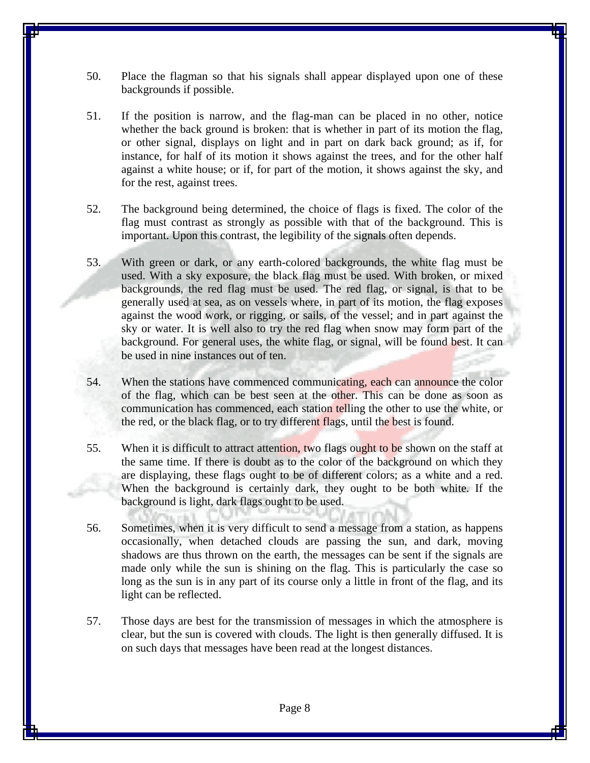- 50. Place the flagman so that his signals shall appear displayed upon one of these backgrounds if possible.
- 51. If the position is narrow, and the flag-man can be placed in no other, notice whether the back ground is broken: that is whether in part of its motion the flag, or other signal, displays on light and in part on dark back ground; as if, for instance, for half of its motion it shows against the trees, and for the other half against a white house; or if, for part of the motion, it shows against the sky, and for the rest, against trees.
- 52. The background being determined, the choice of flags is fixed. The color of the flag must contrast as strongly as possible with that of the background. This is important. Upon this contrast, the legibility of the signals often depends.
- 53. With green or dark, or any earth-colored backgrounds, the white flag must be used. With a sky exposure, the black flag must be used. With broken, or mixed backgrounds, the red flag must be used. The red flag, or signal, is that to be generally used at sea, as on vessels where, in part of its motion, the flag exposes against the wood work, or rigging, or sails, of the vessel; and in part against the sky or water. It is well also to try the red flag when snow may form part of the background. For general uses, the white flag, or signal, will be found best. It can be used in nine instances out of ten.
- 54. When the stations have commenced communicating, each can announce the color of the flag, which can be best seen at the other. This can be done as soon as communication has commenced, each station telling the other to use the white, or the red, or the black flag, or to try different flags, until the best is found.
- 55. When it is difficult to attract attention, two flags ought to be shown on the staff at the same time. If there is doubt as to the color of the background on which they are displaying, these flags ought to be of different colors; as a white and a red. When the background is certainly dark, they ought to be both white. If the background is light, dark flags ought to be used.
- 56. Sometimes, when it is very difficult to send a message from a station, as happens occasionally, when detached clouds are passing the sun, and dark, moving shadows are thus thrown on the earth, the messages can be sent if the signals are made only while the sun is shining on the flag. This is particularly the case so long as the sun is in any part of its course only a little in front of the flag, and its light can be reflected.
- 57. Those days are best for the transmission of messages in which the atmosphere is clear, but the sun is covered with clouds. The light is then generally diffused. It is on such days that messages have been read at the longest distances.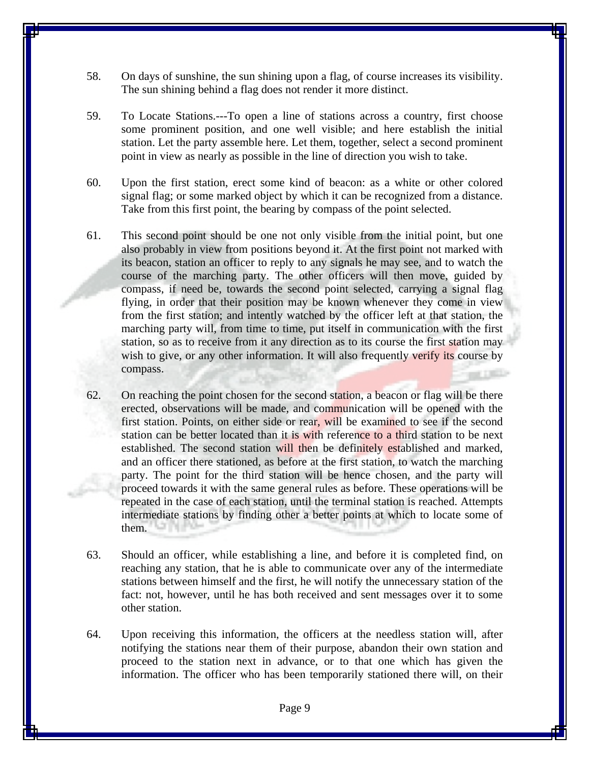- 58. On days of sunshine, the sun shining upon a flag, of course increases its visibility. The sun shining behind a flag does not render it more distinct.
- 59. To Locate Stations.---To open a line of stations across a country, first choose some prominent position, and one well visible; and here establish the initial station. Let the party assemble here. Let them, together, select a second prominent point in view as nearly as possible in the line of direction you wish to take.
- 60. Upon the first station, erect some kind of beacon: as a white or other colored signal flag; or some marked object by which it can be recognized from a distance. Take from this first point, the bearing by compass of the point selected.
- 61. This second point should be one not only visible from the initial point, but one also probably in view from positions beyond it. At the first point not marked with its beacon, station an officer to reply to any signals he may see, and to watch the course of the marching party. The other officers will then move, guided by compass, if need be, towards the second point selected, carrying a signal flag flying, in order that their position may be known whenever they come in view from the first station; and intently watched by the officer left at that station, the marching party will, from time to time, put itself in communication with the first station, so as to receive from it any direction as to its course the first station may wish to give, or any other information. It will also frequently verify its course by compass.
- 62. On reaching the point chosen for the second station, a beacon or flag will be there erected, observations will be made, and communication will be opened with the first station. Points, on either side or rear, will be examined to see if the second station can be better located than it is with reference to a third station to be next established. The second station will then be definitely established and marked, and an officer there stationed, as before at the first station, to watch the marching party. The point for the third station will be hence chosen, and the party will proceed towards it with the same general rules as before. These operations will be repeated in the case of each station, until the terminal station is reached. Attempts intermediate stations by finding other a better points at which to locate some of them.
- 63. Should an officer, while establishing a line, and before it is completed find, on reaching any station, that he is able to communicate over any of the intermediate stations between himself and the first, he will notify the unnecessary station of the fact: not, however, until he has both received and sent messages over it to some other station.
- 64. Upon receiving this information, the officers at the needless station will, after notifying the stations near them of their purpose, abandon their own station and proceed to the station next in advance, or to that one which has given the information. The officer who has been temporarily stationed there will, on their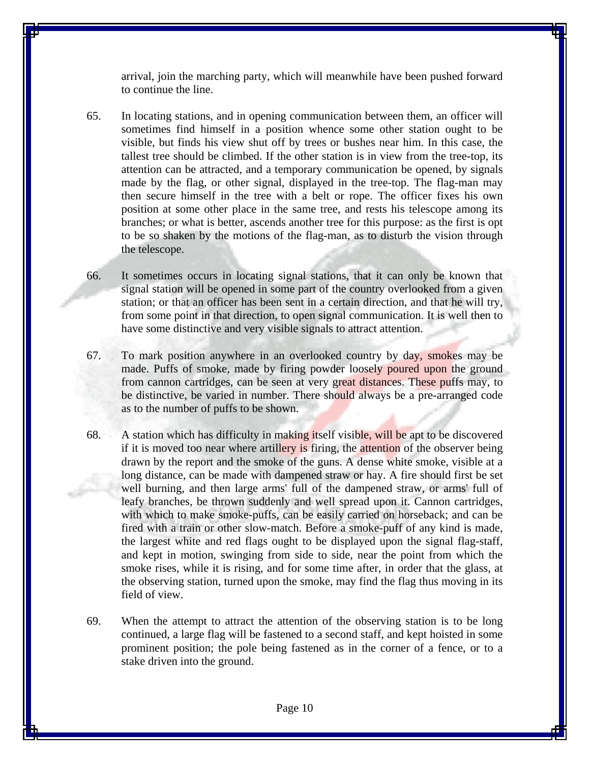arrival, join the marching party, which will meanwhile have been pushed forward to continue the line.

- 65. In locating stations, and in opening communication between them, an officer will sometimes find himself in a position whence some other station ought to be visible, but finds his view shut off by trees or bushes near him. In this case, the tallest tree should be climbed. If the other station is in view from the tree-top, its attention can be attracted, and a temporary communication be opened, by signals made by the flag, or other signal, displayed in the tree-top. The flag-man may then secure himself in the tree with a belt or rope. The officer fixes his own position at some other place in the same tree, and rests his telescope among its branches; or what is better, ascends another tree for this purpose: as the first is opt to be so shaken by the motions of the flag-man, as to disturb the vision through the telescope.
- 66. It sometimes occurs in locating signal stations, that it can only be known that signal station will be opened in some part of the country overlooked from a given station; or that an officer has been sent in a certain direction, and that he will try, from some point in that direction, to open signal communication. It is well then to have some distinctive and very visible signals to attract attention.
- 67. To mark position anywhere in an overlooked country by day, smokes may be made. Puffs of smoke, made by firing powder loosely poured upon the ground from cannon cartridges, can be seen at very great distances. These puffs may, to be distinctive, be varied in number. There should always be a pre-arranged code as to the number of puffs to be shown.
- 68. A station which has difficulty in making itself visible, will be apt to be discovered if it is moved too near where artillery is firing, the attention of the observer being drawn by the report and the smoke of the guns. A dense white smoke, visible at a long distance, can be made with dampened straw or hay. A fire should first be set well burning, and then large arms' full of the dampened straw, or arms' full of leafy branches, be thrown suddenly and well spread upon it. Cannon cartridges, with which to make smoke-puffs, can be easily carried on horseback; and can be fired with a train or other slow-match. Before a smoke-puff of any kind is made, the largest white and red flags ought to be displayed upon the signal flag-staff, and kept in motion, swinging from side to side, near the point from which the smoke rises, while it is rising, and for some time after, in order that the glass, at the observing station, turned upon the smoke, may find the flag thus moving in its field of view.
- 69. When the attempt to attract the attention of the observing station is to be long continued, a large flag will be fastened to a second staff, and kept hoisted in some prominent position; the pole being fastened as in the corner of a fence, or to a stake driven into the ground.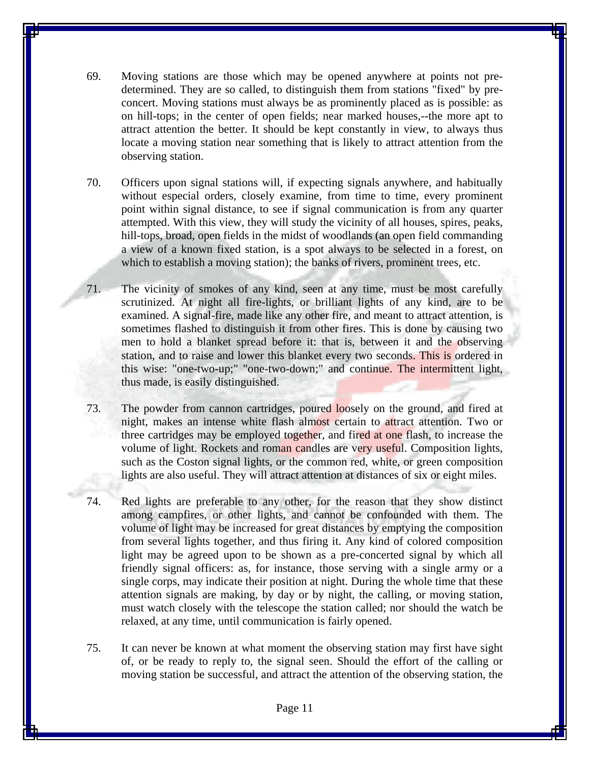- 69. Moving stations are those which may be opened anywhere at points not predetermined. They are so called, to distinguish them from stations "fixed" by preconcert. Moving stations must always be as prominently placed as is possible: as on hill-tops; in the center of open fields; near marked houses,--the more apt to attract attention the better. It should be kept constantly in view, to always thus locate a moving station near something that is likely to attract attention from the observing station.
- 70. Officers upon signal stations will, if expecting signals anywhere, and habitually without especial orders, closely examine, from time to time, every prominent point within signal distance, to see if signal communication is from any quarter attempted. With this view, they will study the vicinity of all houses, spires, peaks, hill-tops, broad, open fields in the midst of woodlands (an open field commanding a view of a known fixed station, is a spot always to be selected in a forest, on which to establish a moving station); the banks of rivers, prominent trees, etc.
- 71. The vicinity of smokes of any kind, seen at any time, must be most carefully scrutinized. At night all fire-lights, or brilliant lights of any kind, are to be examined. A signal-fire, made like any other fire, and meant to attract attention, is sometimes flashed to distinguish it from other fires. This is done by causing two men to hold a blanket spread before it: that is, between it and the observing station, and to raise and lower this blanket every two seconds. This is ordered in this wise: "one-two-up;" "one-two-down;" and continue. The intermittent light, thus made, is easily distinguished.
- 73. The powder from cannon cartridges, poured loosely on the ground, and fired at night, makes an intense white flash almost certain to attract attention. Two or three cartridges may be employed together, and fired at one flash, to increase the volume of light. Rockets and roman candles are very useful. Composition lights, such as the Coston signal lights, or the common red, white, or green composition lights are also useful. They will attract attention at distances of six or eight miles.
- 74. Red lights are preferable to any other, for the reason that they show distinct among campfires, or other lights, and cannot be confounded with them. The volume of light may be increased for great distances by emptying the composition from several lights together, and thus firing it. Any kind of colored composition light may be agreed upon to be shown as a pre-concerted signal by which all friendly signal officers: as, for instance, those serving with a single army or a single corps, may indicate their position at night. During the whole time that these attention signals are making, by day or by night, the calling, or moving station, must watch closely with the telescope the station called; nor should the watch be relaxed, at any time, until communication is fairly opened.
- 75. It can never be known at what moment the observing station may first have sight of, or be ready to reply to, the signal seen. Should the effort of the calling or moving station be successful, and attract the attention of the observing station, the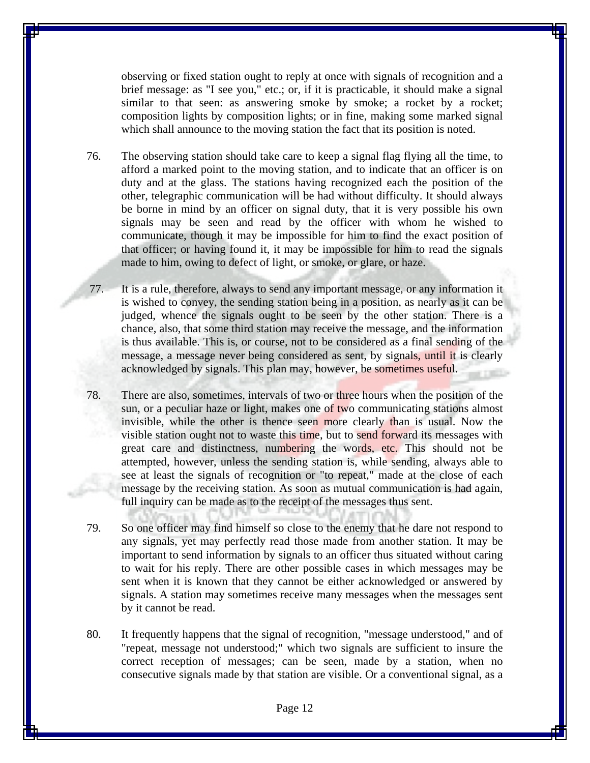observing or fixed station ought to reply at once with signals of recognition and a brief message: as "I see you," etc.; or, if it is practicable, it should make a signal similar to that seen: as answering smoke by smoke; a rocket by a rocket; composition lights by composition lights; or in fine, making some marked signal which shall announce to the moving station the fact that its position is noted.

- 76. The observing station should take care to keep a signal flag flying all the time, to afford a marked point to the moving station, and to indicate that an officer is on duty and at the glass. The stations having recognized each the position of the other, telegraphic communication will be had without difficulty. It should always be borne in mind by an officer on signal duty, that it is very possible his own signals may be seen and read by the officer with whom he wished to communicate, though it may be impossible for him to find the exact position of that officer; or having found it, it may be impossible for him to read the signals made to him, owing to defect of light, or smoke, or glare, or haze.
- 77. It is a rule, therefore, always to send any important message, or any information it is wished to convey, the sending station being in a position, as nearly as it can be judged, whence the signals ought to be seen by the other station. There is a chance, also, that some third station may receive the message, and the information is thus available. This is, or course, not to be considered as a final sending of the message, a message never being considered as sent, by signals, until it is clearly acknowledged by signals. This plan may, however, be sometimes useful.
- 78. There are also, sometimes, intervals of two or three hours when the position of the sun, or a peculiar haze or light, makes one of two communicating stations almost invisible, while the other is thence seen more clearly than is usual. Now the visible station ought not to waste this time, but to send forward its messages with great care and distinctness, numbering the words, etc. This should not be attempted, however, unless the sending station is, while sending, always able to see at least the signals of recognition or "to repeat," made at the close of each message by the receiving station. As soon as mutual communication is had again, full inquiry can be made as to the receipt of the messages thus sent.
- 79. So one officer may find himself so close to the enemy that he dare not respond to any signals, yet may perfectly read those made from another station. It may be important to send information by signals to an officer thus situated without caring to wait for his reply. There are other possible cases in which messages may be sent when it is known that they cannot be either acknowledged or answered by signals. A station may sometimes receive many messages when the messages sent by it cannot be read.
- 80. It frequently happens that the signal of recognition, "message understood," and of "repeat, message not understood;" which two signals are sufficient to insure the correct reception of messages; can be seen, made by a station, when no consecutive signals made by that station are visible. Or a conventional signal, as a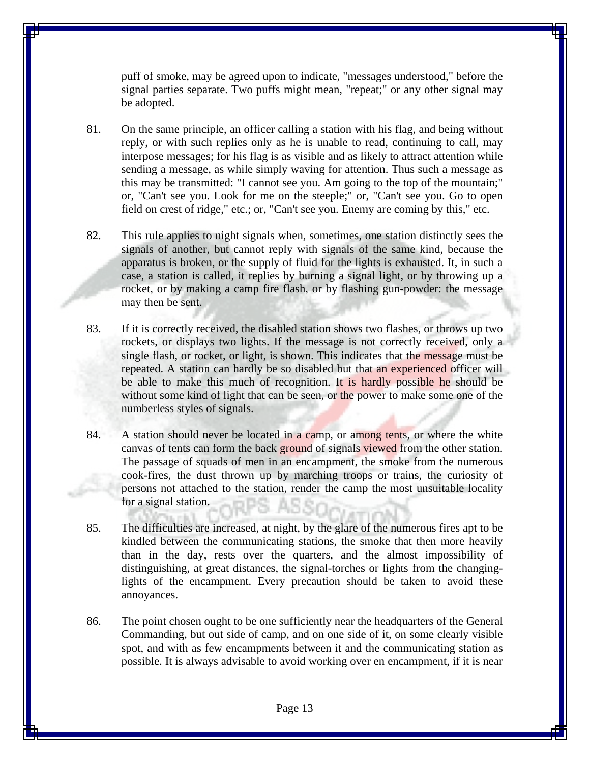puff of smoke, may be agreed upon to indicate, "messages understood," before the signal parties separate. Two puffs might mean, "repeat;" or any other signal may be adopted.

81. On the same principle, an officer calling a station with his flag, and being without reply, or with such replies only as he is unable to read, continuing to call, may interpose messages; for his flag is as visible and as likely to attract attention while sending a message, as while simply waving for attention. Thus such a message as this may be transmitted: "I cannot see you. Am going to the top of the mountain;" or, "Can't see you. Look for me on the steeple;" or, "Can't see you. Go to open field on crest of ridge," etc.; or, "Can't see you. Enemy are coming by this," etc.

82. This rule applies to night signals when, sometimes, one station distinctly sees the signals of another, but cannot reply with signals of the same kind, because the apparatus is broken, or the supply of fluid for the lights is exhausted. It, in such a case, a station is called, it replies by burning a signal light, or by throwing up a rocket, or by making a camp fire flash, or by flashing gun-powder: the message may then be sent.

- 83. If it is correctly received, the disabled station shows two flashes, or throws up two rockets, or displays two lights. If the message is not correctly received, only a single flash, or rocket, or light, is shown. This indicates that the message must be repeated. A station can hardly be so disabled but that an experienced officer will be able to make this much of recognition. It is hardly possible he should be without some kind of light that can be seen, or the power to make some one of the numberless styles of signals.
- 84. A station should never be located in a camp, or among tents, or where the white canvas of tents can form the back ground of signals viewed from the other station. The passage of squads of men in an encampment, the smoke from the numerous cook-fires, the dust thrown up by marching troops or trains, the curiosity of persons not attached to the station, render the camp the most unsuitable locality for a signal station.
- 85. The difficulties are increased, at night, by the glare of the numerous fires apt to be kindled between the communicating stations, the smoke that then more heavily than in the day, rests over the quarters, and the almost impossibility of distinguishing, at great distances, the signal-torches or lights from the changinglights of the encampment. Every precaution should be taken to avoid these annoyances.
- 86. The point chosen ought to be one sufficiently near the headquarters of the General Commanding, but out side of camp, and on one side of it, on some clearly visible spot, and with as few encampments between it and the communicating station as possible. It is always advisable to avoid working over en encampment, if it is near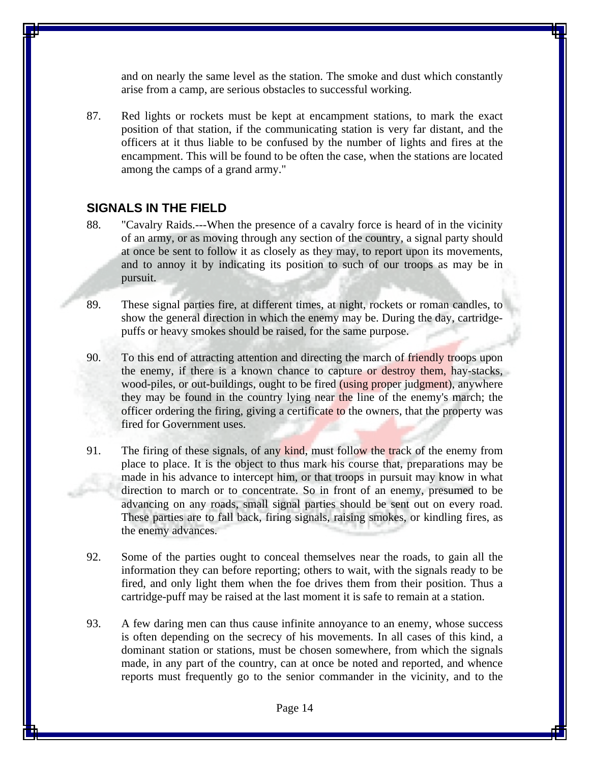and on nearly the same level as the station. The smoke and dust which constantly arise from a camp, are serious obstacles to successful working.

87. Red lights or rockets must be kept at encampment stations, to mark the exact position of that station, if the communicating station is very far distant, and the officers at it thus liable to be confused by the number of lights and fires at the encampment. This will be found to be often the case, when the stations are located among the camps of a grand army."

#### **SIGNALS IN THE FIELD**

- 88. "Cavalry Raids.---When the presence of a cavalry force is heard of in the vicinity of an army, or as moving through any section of the country, a signal party should at once be sent to follow it as closely as they may, to report upon its movements, and to annoy it by indicating its position to such of our troops as may be in pursuit.
- 89. These signal parties fire, at different times, at night, rockets or roman candles, to show the general direction in which the enemy may be. During the day, cartridgepuffs or heavy smokes should be raised, for the same purpose.
- 90. To this end of attracting attention and directing the march of friendly troops upon the enemy, if there is a known chance to capture or destroy them, hay-stacks, wood-piles, or out-buildings, ought to be fired (using proper judgment), anywhere they may be found in the country lying near the line of the enemy's march; the officer ordering the firing, giving a certificate to the owners, that the property was fired for Government uses.
- 91. The firing of these signals, of any kind, must follow the track of the enemy from place to place. It is the object to thus mark his course that, preparations may be made in his advance to intercept him, or that troops in pursuit may know in what direction to march or to concentrate. So in front of an enemy, presumed to be advancing on any roads, small signal parties should be sent out on every road. These parties are to fall back, firing signals, raising smokes, or kindling fires, as the enemy advances.
- 92. Some of the parties ought to conceal themselves near the roads, to gain all the information they can before reporting; others to wait, with the signals ready to be fired, and only light them when the foe drives them from their position. Thus a cartridge-puff may be raised at the last moment it is safe to remain at a station.
- 93. A few daring men can thus cause infinite annoyance to an enemy, whose success is often depending on the secrecy of his movements. In all cases of this kind, a dominant station or stations, must be chosen somewhere, from which the signals made, in any part of the country, can at once be noted and reported, and whence reports must frequently go to the senior commander in the vicinity, and to the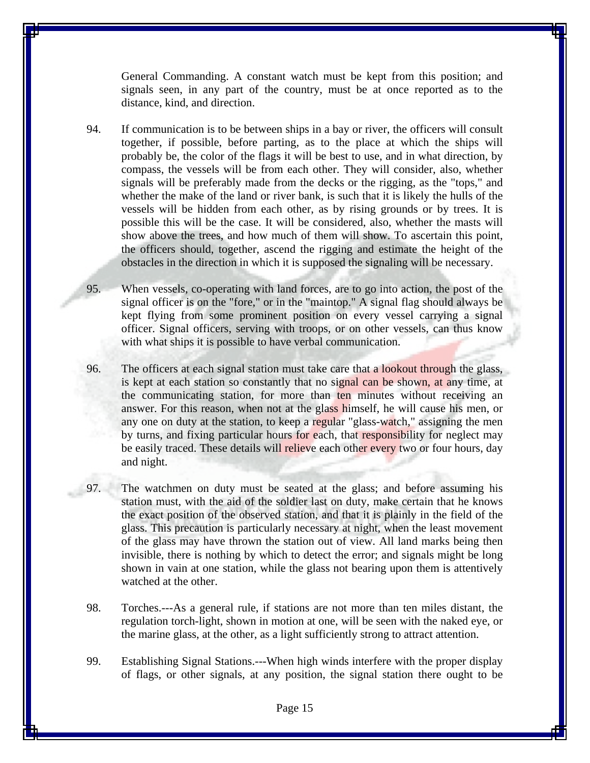General Commanding. A constant watch must be kept from this position; and signals seen, in any part of the country, must be at once reported as to the distance, kind, and direction.

94. If communication is to be between ships in a bay or river, the officers will consult together, if possible, before parting, as to the place at which the ships will probably be, the color of the flags it will be best to use, and in what direction, by compass, the vessels will be from each other. They will consider, also, whether signals will be preferably made from the decks or the rigging, as the "tops," and whether the make of the land or river bank, is such that it is likely the hulls of the vessels will be hidden from each other, as by rising grounds or by trees. It is possible this will be the case. It will be considered, also, whether the masts will show above the trees, and how much of them will show. To ascertain this point, the officers should, together, ascend the rigging and estimate the height of the obstacles in the direction in which it is supposed the signaling will be necessary.

95. When vessels, co-operating with land forces, are to go into action, the post of the signal officer is on the "fore," or in the "maintop." A signal flag should always be kept flying from some prominent position on every vessel carrying a signal officer. Signal officers, serving with troops, or on other vessels, can thus know with what ships it is possible to have verbal communication.

96. The officers at each signal station must take care that a lookout through the glass, is kept at each station so constantly that no signal can be shown, at any time, at the communicating station, for more than ten minutes without receiving an answer. For this reason, when not at the glass himself, he will cause his men, or any one on duty at the station, to keep a regular "glass-watch," assigning the men by turns, and fixing particular hours for each, that responsibility for neglect may be easily traced. These details will relieve each other every two or four hours, day and night.

97. The watchmen on duty must be seated at the glass; and before assuming his station must, with the aid of the soldier last on duty, make certain that he knows the exact position of the observed station, and that it is plainly in the field of the glass. This precaution is particularly necessary at night, when the least movement of the glass may have thrown the station out of view. All land marks being then invisible, there is nothing by which to detect the error; and signals might be long shown in vain at one station, while the glass not bearing upon them is attentively watched at the other.

98. Torches.---As a general rule, if stations are not more than ten miles distant, the regulation torch-light, shown in motion at one, will be seen with the naked eye, or the marine glass, at the other, as a light sufficiently strong to attract attention.

99. Establishing Signal Stations.---When high winds interfere with the proper display of flags, or other signals, at any position, the signal station there ought to be

Page 15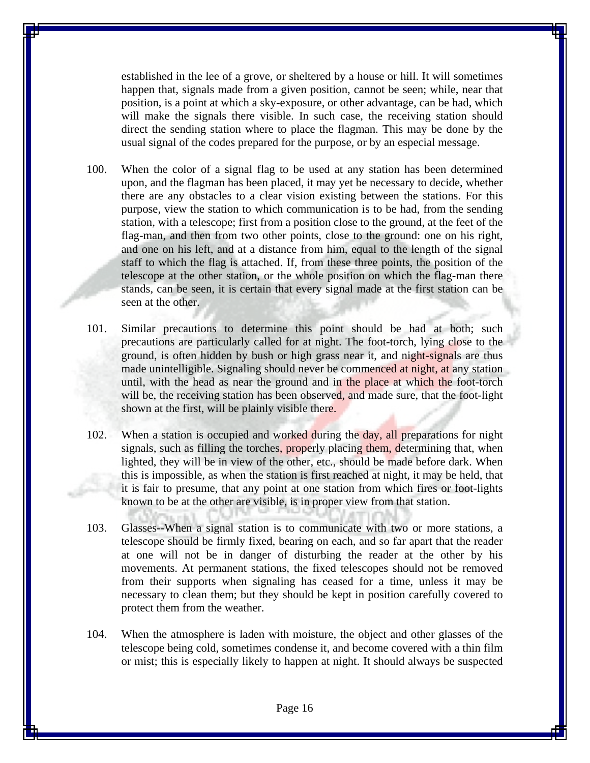established in the lee of a grove, or sheltered by a house or hill. It will sometimes happen that, signals made from a given position, cannot be seen; while, near that position, is a point at which a sky-exposure, or other advantage, can be had, which will make the signals there visible. In such case, the receiving station should direct the sending station where to place the flagman. This may be done by the usual signal of the codes prepared for the purpose, or by an especial message.

- 100. When the color of a signal flag to be used at any station has been determined upon, and the flagman has been placed, it may yet be necessary to decide, whether there are any obstacles to a clear vision existing between the stations. For this purpose, view the station to which communication is to be had, from the sending station, with a telescope; first from a position close to the ground, at the feet of the flag-man, and then from two other points, close to the ground: one on his right, and one on his left, and at a distance from him, equal to the length of the signal staff to which the flag is attached. If, from these three points, the position of the telescope at the other station, or the whole position on which the flag-man there stands, can be seen, it is certain that every signal made at the first station can be seen at the other.
- 101. Similar precautions to determine this point should be had at both; such precautions are particularly called for at night. The foot-torch, lying close to the ground, is often hidden by bush or high grass near it, and night-signals are thus made unintelligible. Signaling should never be commenced at night, at any station until, with the head as near the ground and in the place at which the foot-torch will be, the receiving station has been observed, and made sure, that the foot-light shown at the first, will be plainly visible there.
- 102. When a station is occupied and worked during the day, all preparations for night signals, such as filling the torches, properly placing them, determining that, when lighted, they will be in view of the other, etc., should be made before dark. When this is impossible, as when the station is first reached at night, it may be held, that it is fair to presume, that any point at one station from which fires or foot-lights known to be at the other are visible, is in proper view from that station.
- 103. Glasses--When a signal station is to communicate with two or more stations, a telescope should be firmly fixed, bearing on each, and so far apart that the reader at one will not be in danger of disturbing the reader at the other by his movements. At permanent stations, the fixed telescopes should not be removed from their supports when signaling has ceased for a time, unless it may be necessary to clean them; but they should be kept in position carefully covered to protect them from the weather.
- 104. When the atmosphere is laden with moisture, the object and other glasses of the telescope being cold, sometimes condense it, and become covered with a thin film or mist; this is especially likely to happen at night. It should always be suspected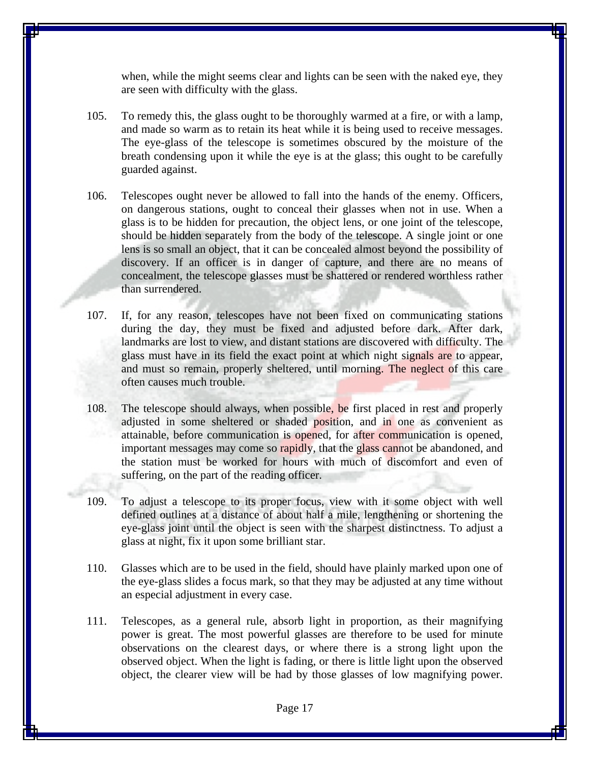when, while the might seems clear and lights can be seen with the naked eye, they are seen with difficulty with the glass.

- 105. To remedy this, the glass ought to be thoroughly warmed at a fire, or with a lamp, and made so warm as to retain its heat while it is being used to receive messages. The eye-glass of the telescope is sometimes obscured by the moisture of the breath condensing upon it while the eye is at the glass; this ought to be carefully guarded against.
- 106. Telescopes ought never be allowed to fall into the hands of the enemy. Officers, on dangerous stations, ought to conceal their glasses when not in use. When a glass is to be hidden for precaution, the object lens, or one joint of the telescope, should be hidden separately from the body of the telescope. A single joint or one lens is so small an object, that it can be concealed almost beyond the possibility of discovery. If an officer is in danger of capture, and there are no means of concealment, the telescope glasses must be shattered or rendered worthless rather than surrendered.
- 107. If, for any reason, telescopes have not been fixed on communicating stations during the day, they must be fixed and adjusted before dark. After dark, landmarks are lost to view, and distant stations are discovered with difficulty. The glass must have in its field the exact point at which night signals are to appear, and must so remain, properly sheltered, until morning. The neglect of this care often causes much trouble.
- 108. The telescope should always, when possible, be first placed in rest and properly adjusted in some sheltered or shaded position, and in one as convenient as attainable, before communication is opened, for after communication is opened, important messages may come so rapidly, that the glass cannot be abandoned, and the station must be worked for hours with much of discomfort and even of suffering, on the part of the reading officer.
- 109. To adjust a telescope to its proper focus, view with it some object with well defined outlines at a distance of about half a mile, lengthening or shortening the eye-glass joint until the object is seen with the sharpest distinctness. To adjust a glass at night, fix it upon some brilliant star.
- 110. Glasses which are to be used in the field, should have plainly marked upon one of the eye-glass slides a focus mark, so that they may be adjusted at any time without an especial adjustment in every case.
- 111. Telescopes, as a general rule, absorb light in proportion, as their magnifying power is great. The most powerful glasses are therefore to be used for minute observations on the clearest days, or where there is a strong light upon the observed object. When the light is fading, or there is little light upon the observed object, the clearer view will be had by those glasses of low magnifying power.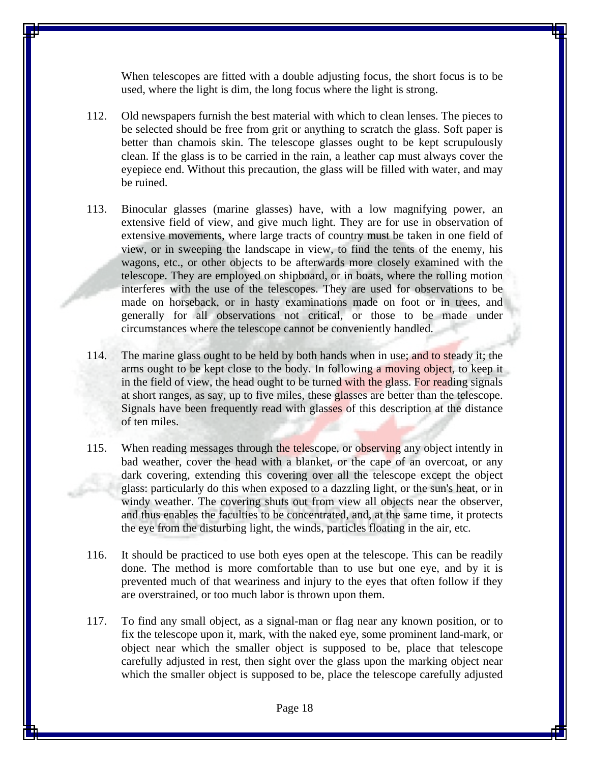When telescopes are fitted with a double adjusting focus, the short focus is to be used, where the light is dim, the long focus where the light is strong.

- 112. Old newspapers furnish the best material with which to clean lenses. The pieces to be selected should be free from grit or anything to scratch the glass. Soft paper is better than chamois skin. The telescope glasses ought to be kept scrupulously clean. If the glass is to be carried in the rain, a leather cap must always cover the eyepiece end. Without this precaution, the glass will be filled with water, and may be ruined.
- 113. Binocular glasses (marine glasses) have, with a low magnifying power, an extensive field of view, and give much light. They are for use in observation of extensive movements, where large tracts of country must be taken in one field of view, or in sweeping the landscape in view, to find the tents of the enemy, his wagons, etc., or other objects to be afterwards more closely examined with the telescope. They are employed on shipboard, or in boats, where the rolling motion interferes with the use of the telescopes. They are used for observations to be made on horseback, or in hasty examinations made on foot or in trees, and generally for all observations not critical, or those to be made under circumstances where the telescope cannot be conveniently handled.
- 114. The marine glass ought to be held by both hands when in use; and to steady it; the arms ought to be kept close to the body. In following a moving object, to keep it in the field of view, the head ought to be turned with the glass. For reading signals at short ranges, as say, up to five miles, these glasses are better than the telescope. Signals have been frequently read with glasses of this description at the distance of ten miles.
- 115. When reading messages through the telescope, or observing any object intently in bad weather, cover the head with a blanket, or the cape of an overcoat, or any dark covering, extending this covering over all the telescope except the object glass: particularly do this when exposed to a dazzling light, or the sun's heat, or in windy weather. The covering shuts out from view all objects near the observer, and thus enables the faculties to be concentrated, and, at the same time, it protects the eye from the disturbing light, the winds, particles floating in the air, etc.
- 116. It should be practiced to use both eyes open at the telescope. This can be readily done. The method is more comfortable than to use but one eye, and by it is prevented much of that weariness and injury to the eyes that often follow if they are overstrained, or too much labor is thrown upon them.
- 117. To find any small object, as a signal-man or flag near any known position, or to fix the telescope upon it, mark, with the naked eye, some prominent land-mark, or object near which the smaller object is supposed to be, place that telescope carefully adjusted in rest, then sight over the glass upon the marking object near which the smaller object is supposed to be, place the telescope carefully adjusted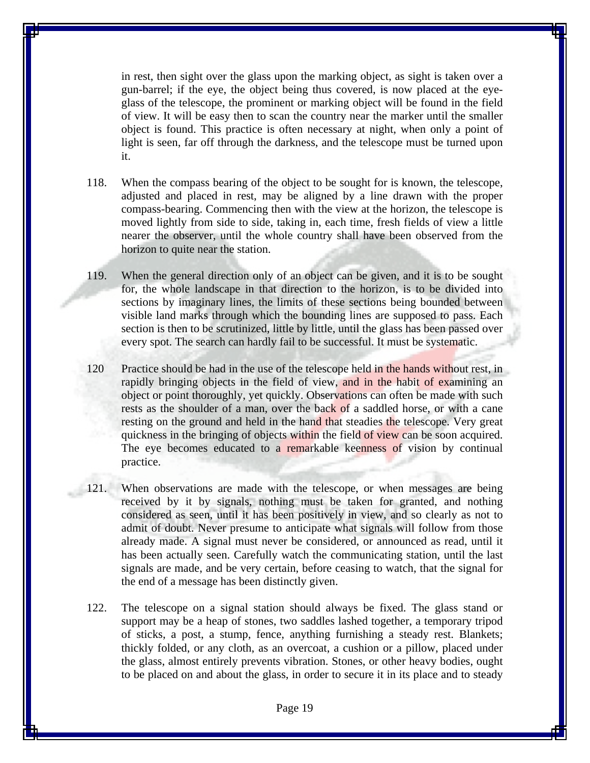in rest, then sight over the glass upon the marking object, as sight is taken over a gun-barrel; if the eye, the object being thus covered, is now placed at the eyeglass of the telescope, the prominent or marking object will be found in the field of view. It will be easy then to scan the country near the marker until the smaller object is found. This practice is often necessary at night, when only a point of light is seen, far off through the darkness, and the telescope must be turned upon it.

- 118. When the compass bearing of the object to be sought for is known, the telescope, adjusted and placed in rest, may be aligned by a line drawn with the proper compass-bearing. Commencing then with the view at the horizon, the telescope is moved lightly from side to side, taking in, each time, fresh fields of view a little nearer the observer, until the whole country shall have been observed from the horizon to quite near the station.
- 119. When the general direction only of an object can be given, and it is to be sought for, the whole landscape in that direction to the horizon, is to be divided into sections by imaginary lines, the limits of these sections being bounded between visible land marks through which the bounding lines are supposed to pass. Each section is then to be scrutinized, little by little, until the glass has been passed over every spot. The search can hardly fail to be successful. It must be systematic.
- 120 Practice should be had in the use of the telescope held in the hands without rest, in rapidly bringing objects in the field of view, and in the habit of examining an object or point thoroughly, yet quickly. Observations can often be made with such rests as the shoulder of a man, over the back of a saddled horse, or with a cane resting on the ground and held in the hand that steadies the telescope. Very great quickness in the bringing of objects within the field of view can be soon acquired. The eye becomes educated to a remarkable keenness of vision by continual practice.
- 121. When observations are made with the telescope, or when messages are being received by it by signals, nothing must be taken for granted, and nothing considered as seen, until it has been positively in view, and so clearly as not to admit of doubt. Never presume to anticipate what signals will follow from those already made. A signal must never be considered, or announced as read, until it has been actually seen. Carefully watch the communicating station, until the last signals are made, and be very certain, before ceasing to watch, that the signal for the end of a message has been distinctly given.
- 122. The telescope on a signal station should always be fixed. The glass stand or support may be a heap of stones, two saddles lashed together, a temporary tripod of sticks, a post, a stump, fence, anything furnishing a steady rest. Blankets; thickly folded, or any cloth, as an overcoat, a cushion or a pillow, placed under the glass, almost entirely prevents vibration. Stones, or other heavy bodies, ought to be placed on and about the glass, in order to secure it in its place and to steady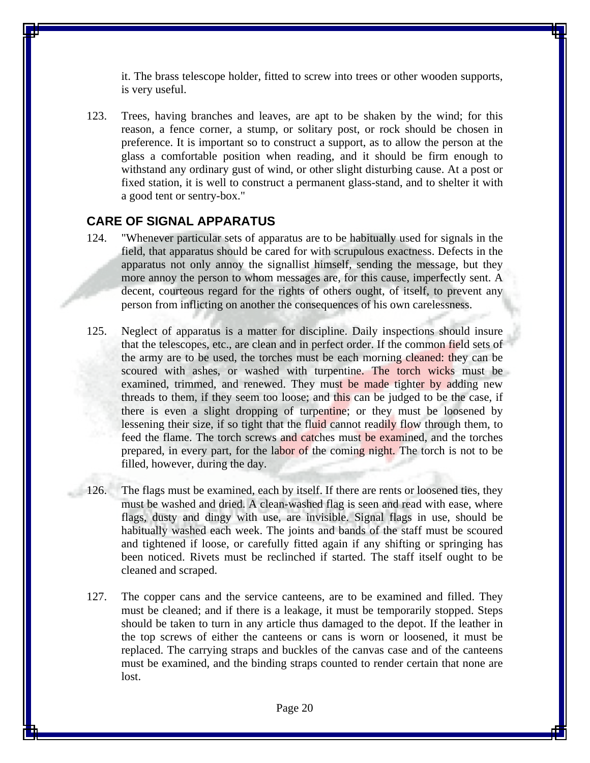it. The brass telescope holder, fitted to screw into trees or other wooden supports, is very useful.

123. Trees, having branches and leaves, are apt to be shaken by the wind; for this reason, a fence corner, a stump, or solitary post, or rock should be chosen in preference. It is important so to construct a support, as to allow the person at the glass a comfortable position when reading, and it should be firm enough to withstand any ordinary gust of wind, or other slight disturbing cause. At a post or fixed station, it is well to construct a permanent glass-stand, and to shelter it with a good tent or sentry-box."

#### **CARE OF SIGNAL APPARATUS**

- 124. "Whenever particular sets of apparatus are to be habitually used for signals in the field, that apparatus should be cared for with scrupulous exactness. Defects in the apparatus not only annoy the signallist himself, sending the message, but they more annoy the person to whom messages are, for this cause, imperfectly sent. A decent, courteous regard for the rights of others ought, of itself, to prevent any person from inflicting on another the consequences of his own carelessness.
- 125. Neglect of apparatus is a matter for discipline. Daily inspections should insure that the telescopes, etc., are clean and in perfect order. If the common field sets of the army are to be used, the torches must be each morning cleaned: they can be scoured with ashes, or washed with turpentine. The torch wicks must be examined, trimmed, and renewed. They must be made tighter by adding new threads to them, if they seem too loose; and this can be judged to be the case, if there is even a slight dropping of turpentine; or they must be loosened by lessening their size, if so tight that the fluid cannot readily flow through them, to feed the flame. The torch screws and catches must be examined, and the torches prepared, in every part, for the labor of the coming night. The torch is not to be filled, however, during the day.
- 126. The flags must be examined, each by itself. If there are rents or loosened ties, they must be washed and dried. A clean-washed flag is seen and read with ease, where flags, dusty and dingy with use, are invisible. Signal flags in use, should be habitually washed each week. The joints and bands of the staff must be scoured and tightened if loose, or carefully fitted again if any shifting or springing has been noticed. Rivets must be reclinched if started. The staff itself ought to be cleaned and scraped.
- 127. The copper cans and the service canteens, are to be examined and filled. They must be cleaned; and if there is a leakage, it must be temporarily stopped. Steps should be taken to turn in any article thus damaged to the depot. If the leather in the top screws of either the canteens or cans is worn or loosened, it must be replaced. The carrying straps and buckles of the canvas case and of the canteens must be examined, and the binding straps counted to render certain that none are lost.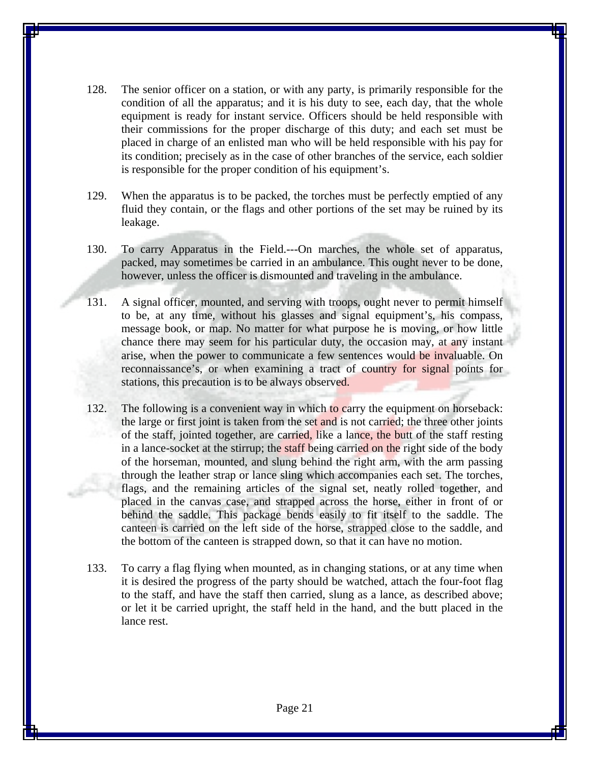- 128. The senior officer on a station, or with any party, is primarily responsible for the condition of all the apparatus; and it is his duty to see, each day, that the whole equipment is ready for instant service. Officers should be held responsible with their commissions for the proper discharge of this duty; and each set must be placed in charge of an enlisted man who will be held responsible with his pay for its condition; precisely as in the case of other branches of the service, each soldier is responsible for the proper condition of his equipment's.
- 129. When the apparatus is to be packed, the torches must be perfectly emptied of any fluid they contain, or the flags and other portions of the set may be ruined by its leakage.
- 130. To carry Apparatus in the Field.---On marches, the whole set of apparatus, packed, may sometimes be carried in an ambulance. This ought never to be done, however, unless the officer is dismounted and traveling in the ambulance.
- 131. A signal officer, mounted, and serving with troops, ought never to permit himself to be, at any time, without his glasses and signal equipment's, his compass, message book, or map. No matter for what purpose he is moving, or how little chance there may seem for his particular duty, the occasion may, at any instant arise, when the power to communicate a few sentences would be invaluable. On reconnaissance's, or when examining a tract of country for signal points for stations, this precaution is to be always observed.
- 132. The following is a convenient way in which to carry the equipment on horseback: the large or first joint is taken from the set and is not carried; the three other joints of the staff, jointed together, are carried, like a lance, the butt of the staff resting in a lance-socket at the stirrup; the staff being carried on the right side of the body of the horseman, mounted, and slung behind the right arm, with the arm passing through the leather strap or lance sling which accompanies each set. The torches, flags, and the remaining articles of the signal set, neatly rolled together, and placed in the canvas case, and strapped across the horse, either in front of or behind the saddle. This package bends easily to fit itself to the saddle. The canteen is carried on the left side of the horse, strapped close to the saddle, and the bottom of the canteen is strapped down, so that it can have no motion.
- 133. To carry a flag flying when mounted, as in changing stations, or at any time when it is desired the progress of the party should be watched, attach the four-foot flag to the staff, and have the staff then carried, slung as a lance, as described above; or let it be carried upright, the staff held in the hand, and the butt placed in the lance rest.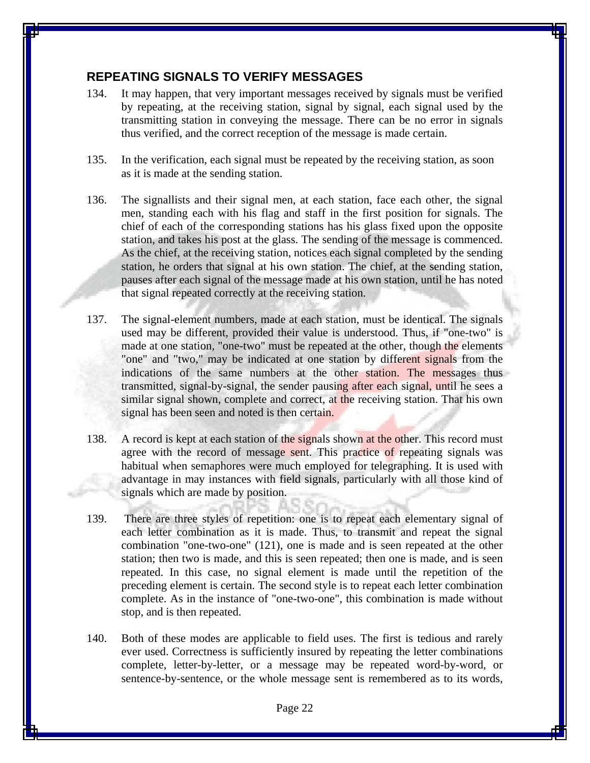# **REPEATING SIGNALS TO VERIFY MESSAGES**

- 134. It may happen, that very important messages received by signals must be verified by repeating, at the receiving station, signal by signal, each signal used by the transmitting station in conveying the message. There can be no error in signals thus verified, and the correct reception of the message is made certain.
- 135. In the verification, each signal must be repeated by the receiving station, as soon as it is made at the sending station.
- 136. The signallists and their signal men, at each station, face each other, the signal men, standing each with his flag and staff in the first position for signals. The chief of each of the corresponding stations has his glass fixed upon the opposite station, and takes his post at the glass. The sending of the message is commenced. As the chief, at the receiving station, notices each signal completed by the sending station, he orders that signal at his own station. The chief, at the sending station, pauses after each signal of the message made at his own station, until he has noted that signal repeated correctly at the receiving station.
- 137. The signal-element numbers, made at each station, must be identical. The signals used may be different, provided their value is understood. Thus, if "one-two" is made at one station, "one-two" must be repeated at the other, though the elements "one" and "two," may be indicated at one station by different signals from the indications of the same numbers at the other station. The messages thus transmitted, signal-by-signal, the sender pausing after each signal, until he sees a similar signal shown, complete and correct, at the receiving station. That his own signal has been seen and noted is then certain.
- 138. A record is kept at each station of the signals shown at the other. This record must agree with the record of message sent. This practice of repeating signals was habitual when semaphores were much employed for telegraphing. It is used with advantage in may instances with field signals, particularly with all those kind of signals which are made by position.
- 139. There are three styles of repetition: one is to repeat each elementary signal of each letter combination as it is made. Thus, to transmit and repeat the signal combination "one-two-one" (121), one is made and is seen repeated at the other station; then two is made, and this is seen repeated; then one is made, and is seen repeated. In this case, no signal element is made until the repetition of the preceding element is certain. The second style is to repeat each letter combination complete. As in the instance of "one-two-one", this combination is made without stop, and is then repeated.
- 140. Both of these modes are applicable to field uses. The first is tedious and rarely ever used. Correctness is sufficiently insured by repeating the letter combinations complete, letter-by-letter, or a message may be repeated word-by-word, or sentence-by-sentence, or the whole message sent is remembered as to its words,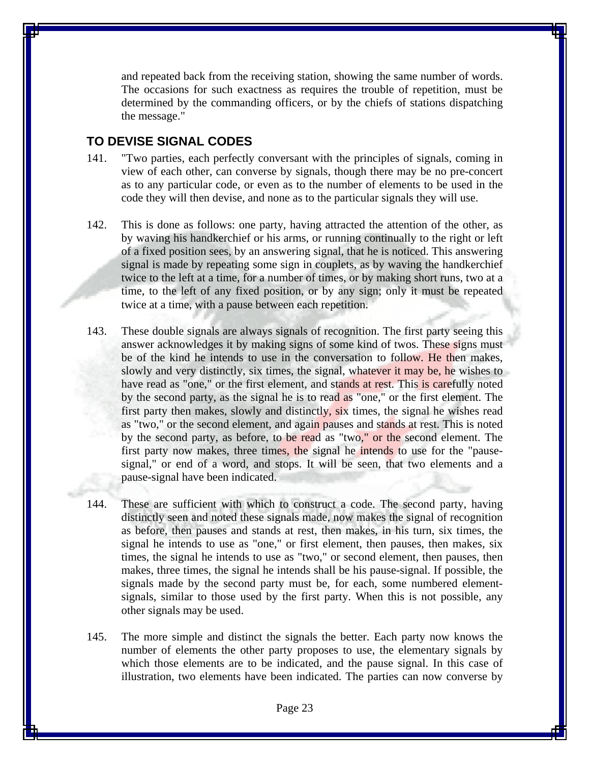and repeated back from the receiving station, showing the same number of words. The occasions for such exactness as requires the trouble of repetition, must be determined by the commanding officers, or by the chiefs of stations dispatching the message."

#### **TO DEVISE SIGNAL CODES**

- 141. "Two parties, each perfectly conversant with the principles of signals, coming in view of each other, can converse by signals, though there may be no pre-concert as to any particular code, or even as to the number of elements to be used in the code they will then devise, and none as to the particular signals they will use.
- 142. This is done as follows: one party, having attracted the attention of the other, as by waving his handkerchief or his arms, or running continually to the right or left of a fixed position sees, by an answering signal, that he is noticed. This answering signal is made by repeating some sign in couplets, as by waving the handkerchief twice to the left at a time, for a number of times, or by making short runs, two at a time, to the left of any fixed position, or by any sign; only it must be repeated twice at a time, with a pause between each repetition.
- 143. These double signals are always signals of recognition. The first party seeing this answer acknowledges it by making signs of some kind of twos. These signs must be of the kind he intends to use in the conversation to follow. He then makes, slowly and very distinctly, six times, the signal, whatever it may be, he wishes to have read as "one," or the first element, and stands at rest. This is carefully noted by the second party, as the signal he is to read as "one," or the first element. The first party then makes, slowly and distinctly, six times, the signal he wishes read as "two," or the second element, and again pauses and stands at rest. This is noted by the second party, as before, to be read as "two," or the second element. The first party now makes, three times, the signal he intends to use for the "pausesignal," or end of a word, and stops. It will be seen, that two elements and a pause-signal have been indicated.
- 144. These are sufficient with which to construct a code. The second party, having distinctly seen and noted these signals made, now makes the signal of recognition as before, then pauses and stands at rest, then makes, in his turn, six times, the signal he intends to use as "one," or first element, then pauses, then makes, six times, the signal he intends to use as "two," or second element, then pauses, then makes, three times, the signal he intends shall be his pause-signal. If possible, the signals made by the second party must be, for each, some numbered elementsignals, similar to those used by the first party. When this is not possible, any other signals may be used.
- 145. The more simple and distinct the signals the better. Each party now knows the number of elements the other party proposes to use, the elementary signals by which those elements are to be indicated, and the pause signal. In this case of illustration, two elements have been indicated. The parties can now converse by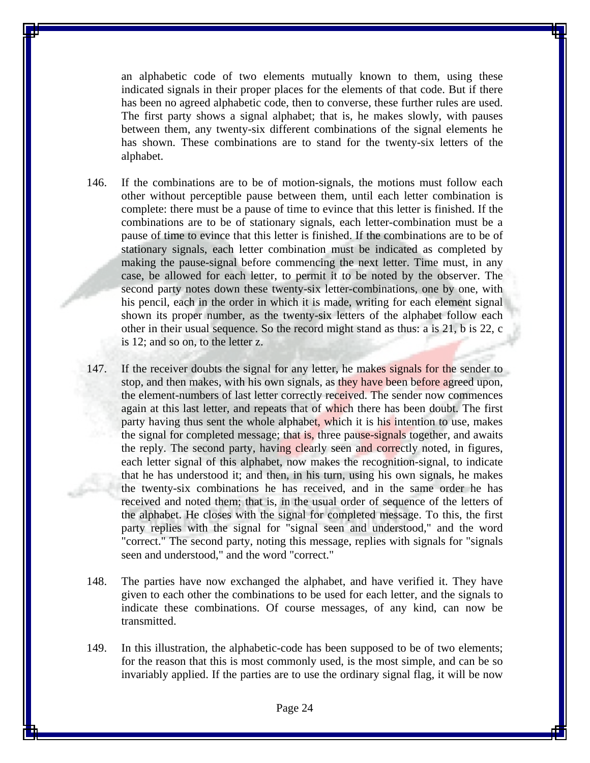an alphabetic code of two elements mutually known to them, using these indicated signals in their proper places for the elements of that code. But if there has been no agreed alphabetic code, then to converse, these further rules are used. The first party shows a signal alphabet; that is, he makes slowly, with pauses between them, any twenty-six different combinations of the signal elements he has shown. These combinations are to stand for the twenty-six letters of the alphabet.

- 146. If the combinations are to be of motion-signals, the motions must follow each other without perceptible pause between them, until each letter combination is complete: there must be a pause of time to evince that this letter is finished. If the combinations are to be of stationary signals, each letter-combination must be a pause of time to evince that this letter is finished. If the combinations are to be of stationary signals, each letter combination must be indicated as completed by making the pause-signal before commencing the next letter. Time must, in any case, be allowed for each letter, to permit it to be noted by the observer. The second party notes down these twenty-six letter-combinations, one by one, with his pencil, each in the order in which it is made, writing for each element signal shown its proper number, as the twenty-six letters of the alphabet follow each other in their usual sequence. So the record might stand as thus: a is 21, b is 22, c is 12; and so on, to the letter z.
- 147. If the receiver doubts the signal for any letter, he makes signals for the sender to stop, and then makes, with his own signals, as they have been before agreed upon, the element-numbers of last letter correctly received. The sender now commences again at this last letter, and repeats that of which there has been doubt. The first party having thus sent the whole alphabet, which it is his intention to use, makes the signal for completed message; that is, three pause-signals together, and awaits the reply. The second party, having clearly seen and correctly noted, in figures, each letter signal of this alphabet, now makes the recognition-signal, to indicate that he has understood it; and then, in his turn, using his own signals, he makes the twenty-six combinations he has received, and in the same order he has received and noted them; that is, in the usual order of sequence of the letters of the alphabet. He closes with the signal for completed message. To this, the first party replies with the signal for "signal seen and understood," and the word "correct." The second party, noting this message, replies with signals for "signals seen and understood," and the word "correct."
- 148. The parties have now exchanged the alphabet, and have verified it. They have given to each other the combinations to be used for each letter, and the signals to indicate these combinations. Of course messages, of any kind, can now be transmitted.
- 149. In this illustration, the alphabetic-code has been supposed to be of two elements; for the reason that this is most commonly used, is the most simple, and can be so invariably applied. If the parties are to use the ordinary signal flag, it will be now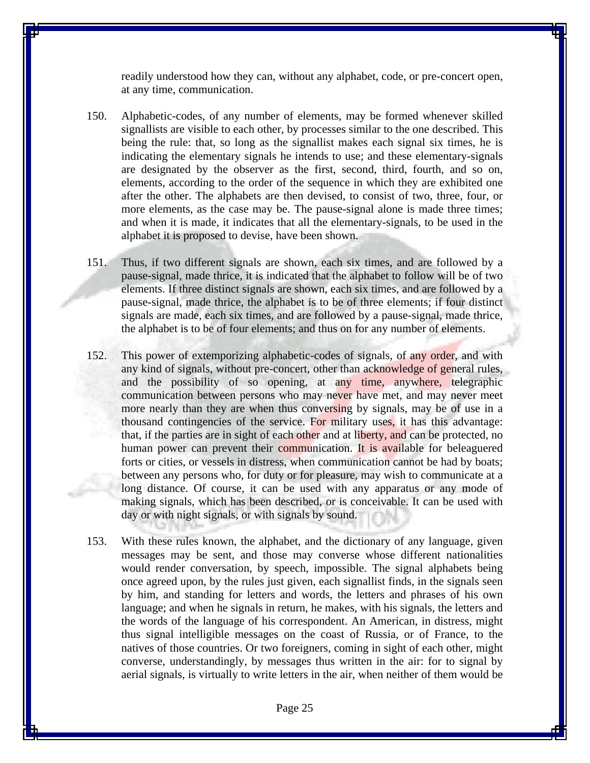readily understood how they can, without any alphabet, code, or pre-concert open, at any time, communication.

- 150. Alphabetic-codes, of any number of elements, may be formed whenever skilled signallists are visible to each other, by processes similar to the one described. This being the rule: that, so long as the signallist makes each signal six times, he is indicating the elementary signals he intends to use; and these elementary-signals are designated by the observer as the first, second, third, fourth, and so on, elements, according to the order of the sequence in which they are exhibited one after the other. The alphabets are then devised, to consist of two, three, four, or more elements, as the case may be. The pause-signal alone is made three times; and when it is made, it indicates that all the elementary-signals, to be used in the alphabet it is proposed to devise, have been shown.
- 151. Thus, if two different signals are shown, each six times, and are followed by a pause-signal, made thrice, it is indicated that the alphabet to follow will be of two elements. If three distinct signals are shown, each six times, and are followed by a pause-signal, made thrice, the alphabet is to be of three elements; if four distinct signals are made, each six times, and are followed by a pause-signal, made thrice, the alphabet is to be of four elements; and thus on for any number of elements.
- 152. This power of extemporizing alphabetic-codes of signals, of any order, and with any kind of signals, without pre-concert, other than acknowledge of general rules, and the possibility of so opening, at any time, anywhere, telegraphic communication between persons who may never have met, and may never meet more nearly than they are when thus conversing by signals, may be of use in a thousand contingencies of the service. For military uses, it has this advantage: that, if the parties are in sight of each other and at liberty, and can be protected, no human power can prevent their communication. It is available for beleaguered forts or cities, or vessels in distress, when communication cannot be had by boats; between any persons who, for duty or for pleasure, may wish to communicate at a long distance. Of course, it can be used with any apparatus or any mode of making signals, which has been described, or is conceivable. It can be used with day or with night signals, or with signals by sound.
- 153. With these rules known, the alphabet, and the dictionary of any language, given messages may be sent, and those may converse whose different nationalities would render conversation, by speech, impossible. The signal alphabets being once agreed upon, by the rules just given, each signallist finds, in the signals seen by him, and standing for letters and words, the letters and phrases of his own language; and when he signals in return, he makes, with his signals, the letters and the words of the language of his correspondent. An American, in distress, might thus signal intelligible messages on the coast of Russia, or of France, to the natives of those countries. Or two foreigners, coming in sight of each other, might converse, understandingly, by messages thus written in the air: for to signal by aerial signals, is virtually to write letters in the air, when neither of them would be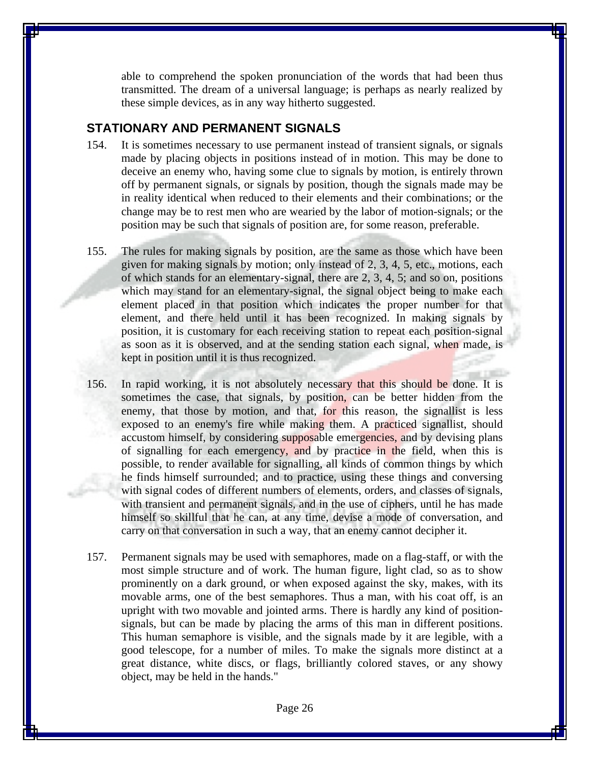able to comprehend the spoken pronunciation of the words that had been thus transmitted. The dream of a universal language; is perhaps as nearly realized by these simple devices, as in any way hitherto suggested.

## **STATIONARY AND PERMANENT SIGNALS**

- 154. It is sometimes necessary to use permanent instead of transient signals, or signals made by placing objects in positions instead of in motion. This may be done to deceive an enemy who, having some clue to signals by motion, is entirely thrown off by permanent signals, or signals by position, though the signals made may be in reality identical when reduced to their elements and their combinations; or the change may be to rest men who are wearied by the labor of motion-signals; or the position may be such that signals of position are, for some reason, preferable.
- 155. The rules for making signals by position, are the same as those which have been given for making signals by motion; only instead of 2, 3, 4, 5, etc., motions, each of which stands for an elementary-signal, there are 2, 3, 4, 5; and so on, positions which may stand for an elementary-signal, the signal object being to make each element placed in that position which indicates the proper number for that element, and there held until it has been recognized. In making signals by position, it is customary for each receiving station to repeat each position-signal as soon as it is observed, and at the sending station each signal, when made, is kept in position until it is thus recognized.
- 156. In rapid working, it is not absolutely necessary that this should be done. It is sometimes the case, that signals, by position, can be better hidden from the enemy, that those by motion, and that, for this reason, the signallist is less exposed to an enemy's fire while making them. A practiced signallist, should accustom himself, by considering supposable emergencies, and by devising plans of signalling for each emergency, and by practice in the field, when this is possible, to render available for signalling, all kinds of common things by which he finds himself surrounded; and to practice, using these things and conversing with signal codes of different numbers of elements, orders, and classes of signals, with transient and permanent signals, and in the use of ciphers, until he has made himself so skillful that he can, at any time, devise a mode of conversation, and carry on that conversation in such a way, that an enemy cannot decipher it.
- 157. Permanent signals may be used with semaphores, made on a flag-staff, or with the most simple structure and of work. The human figure, light clad, so as to show prominently on a dark ground, or when exposed against the sky, makes, with its movable arms, one of the best semaphores. Thus a man, with his coat off, is an upright with two movable and jointed arms. There is hardly any kind of positionsignals, but can be made by placing the arms of this man in different positions. This human semaphore is visible, and the signals made by it are legible, with a good telescope, for a number of miles. To make the signals more distinct at a great distance, white discs, or flags, brilliantly colored staves, or any showy object, may be held in the hands."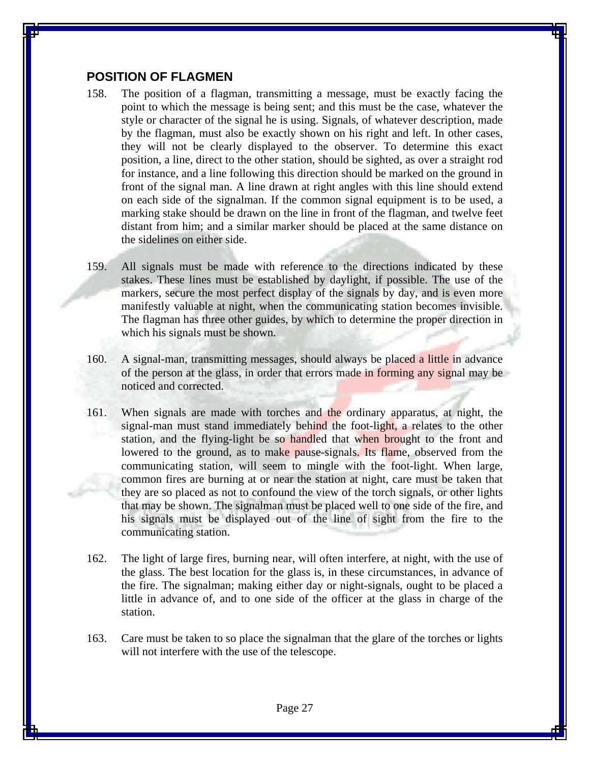#### **POSITION OF FLAGMEN**

- 158. The position of a flagman, transmitting a message, must be exactly facing the point to which the message is being sent; and this must be the case, whatever the style or character of the signal he is using. Signals, of whatever description, made by the flagman, must also be exactly shown on his right and left. In other cases, they will not be clearly displayed to the observer. To determine this exact position, a line, direct to the other station, should be sighted, as over a straight rod for instance, and a line following this direction should be marked on the ground in front of the signal man. A line drawn at right angles with this line should extend on each side of the signalman. If the common signal equipment is to be used, a marking stake should be drawn on the line in front of the flagman, and twelve feet distant from him; and a similar marker should be placed at the same distance on the sidelines on either side.
- 159. All signals must be made with reference to the directions indicated by these stakes. These lines must be established by daylight, if possible. The use of the markers, secure the most perfect display of the signals by day, and is even more manifestly valuable at night, when the communicating station becomes invisible. The flagman has three other guides, by which to determine the proper direction in which his signals must be shown.
- 160. A signal-man, transmitting messages, should always be placed a little in advance of the person at the glass, in order that errors made in forming any signal may be noticed and corrected.
- 161. When signals are made with torches and the ordinary apparatus, at night, the signal-man must stand immediately behind the foot-light, a relates to the other station, and the flying-light be so handled that when brought to the front and lowered to the ground, as to make pause-signals. Its flame, observed from the communicating station, will seem to mingle with the foot-light. When large, common fires are burning at or near the station at night, care must be taken that they are so placed as not to confound the view of the torch signals, or other lights that may be shown. The signalman must be placed well to one side of the fire, and his signals must be displayed out of the line of sight from the fire to the communicating station.
- 162. The light of large fires, burning near, will often interfere, at night, with the use of the glass. The best location for the glass is, in these circumstances, in advance of the fire. The signalman; making either day or night-signals, ought to be placed a little in advance of, and to one side of the officer at the glass in charge of the station.
- 163. Care must be taken to so place the signalman that the glare of the torches or lights will not interfere with the use of the telescope.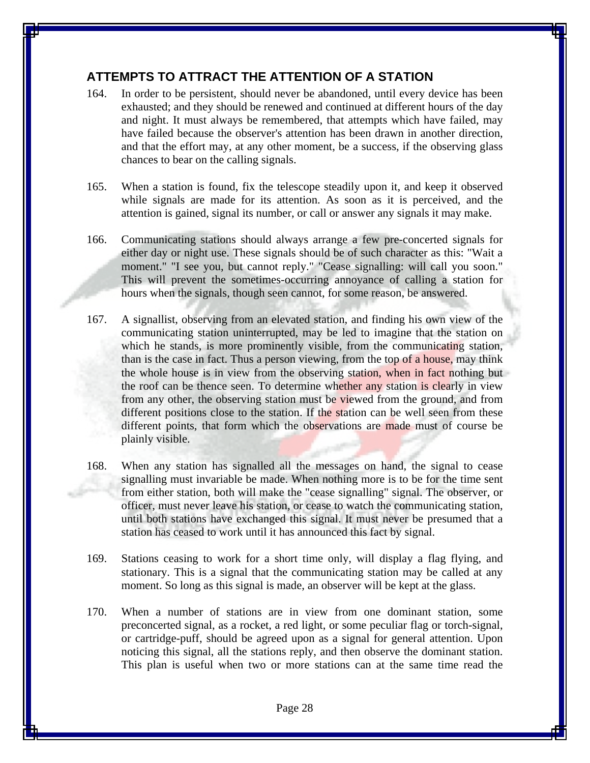# **ATTEMPTS TO ATTRACT THE ATTENTION OF A STATION**

- 164. In order to be persistent, should never be abandoned, until every device has been exhausted; and they should be renewed and continued at different hours of the day and night. It must always be remembered, that attempts which have failed, may have failed because the observer's attention has been drawn in another direction, and that the effort may, at any other moment, be a success, if the observing glass chances to bear on the calling signals.
- 165. When a station is found, fix the telescope steadily upon it, and keep it observed while signals are made for its attention. As soon as it is perceived, and the attention is gained, signal its number, or call or answer any signals it may make.
- 166. Communicating stations should always arrange a few pre-concerted signals for either day or night use. These signals should be of such character as this: "Wait a moment." "I see you, but cannot reply." "Cease signalling: will call you soon." This will prevent the sometimes-occurring annoyance of calling a station for hours when the signals, though seen cannot, for some reason, be answered.
- 167. A signallist, observing from an elevated station, and finding his own view of the communicating station uninterrupted, may be led to imagine that the station on which he stands, is more prominently visible, from the communicating station, than is the case in fact. Thus a person viewing, from the top of a house, may think the whole house is in view from the observing station, when in fact nothing but the roof can be thence seen. To determine whether any station is clearly in view from any other, the observing station must be viewed from the ground, and from different positions close to the station. If the station can be well seen from these different points, that form which the observations are made must of course be plainly visible.
- 168. When any station has signalled all the messages on hand, the signal to cease signalling must invariable be made. When nothing more is to be for the time sent from either station, both will make the "cease signalling" signal. The observer, or officer, must never leave his station, or cease to watch the communicating station, until both stations have exchanged this signal. It must never be presumed that a station has ceased to work until it has announced this fact by signal.
- 169. Stations ceasing to work for a short time only, will display a flag flying, and stationary. This is a signal that the communicating station may be called at any moment. So long as this signal is made, an observer will be kept at the glass.
- 170. When a number of stations are in view from one dominant station, some preconcerted signal, as a rocket, a red light, or some peculiar flag or torch-signal, or cartridge-puff, should be agreed upon as a signal for general attention. Upon noticing this signal, all the stations reply, and then observe the dominant station. This plan is useful when two or more stations can at the same time read the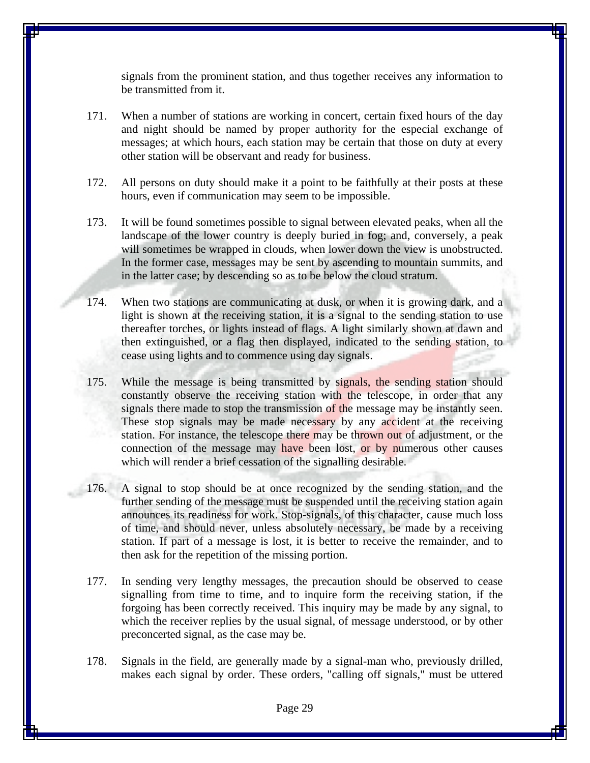signals from the prominent station, and thus together receives any information to be transmitted from it.

- 171. When a number of stations are working in concert, certain fixed hours of the day and night should be named by proper authority for the especial exchange of messages; at which hours, each station may be certain that those on duty at every other station will be observant and ready for business.
- 172. All persons on duty should make it a point to be faithfully at their posts at these hours, even if communication may seem to be impossible.
- 173. It will be found sometimes possible to signal between elevated peaks, when all the landscape of the lower country is deeply buried in fog; and, conversely, a peak will sometimes be wrapped in clouds, when lower down the view is unobstructed. In the former case, messages may be sent by ascending to mountain summits, and in the latter case; by descending so as to be below the cloud stratum.
- 174. When two stations are communicating at dusk, or when it is growing dark, and a light is shown at the receiving station, it is a signal to the sending station to use thereafter torches, or lights instead of flags. A light similarly shown at dawn and then extinguished, or a flag then displayed, indicated to the sending station, to cease using lights and to commence using day signals.
- 175. While the message is being transmitted by signals, the sending station should constantly observe the receiving station with the telescope, in order that any signals there made to stop the transmission of the message may be instantly seen. These stop signals may be made necessary by any accident at the receiving station. For instance, the telescope there may be thrown out of adjustment, or the connection of the message may have been lost, or by numerous other causes which will render a brief cessation of the signalling desirable.
- 176. A signal to stop should be at once recognized by the sending station, and the further sending of the message must be suspended until the receiving station again announces its readiness for work. Stop-signals, of this character, cause much loss of time, and should never, unless absolutely necessary, be made by a receiving station. If part of a message is lost, it is better to receive the remainder, and to then ask for the repetition of the missing portion.
- 177. In sending very lengthy messages, the precaution should be observed to cease signalling from time to time, and to inquire form the receiving station, if the forgoing has been correctly received. This inquiry may be made by any signal, to which the receiver replies by the usual signal, of message understood, or by other preconcerted signal, as the case may be.
- 178. Signals in the field, are generally made by a signal-man who, previously drilled, makes each signal by order. These orders, "calling off signals," must be uttered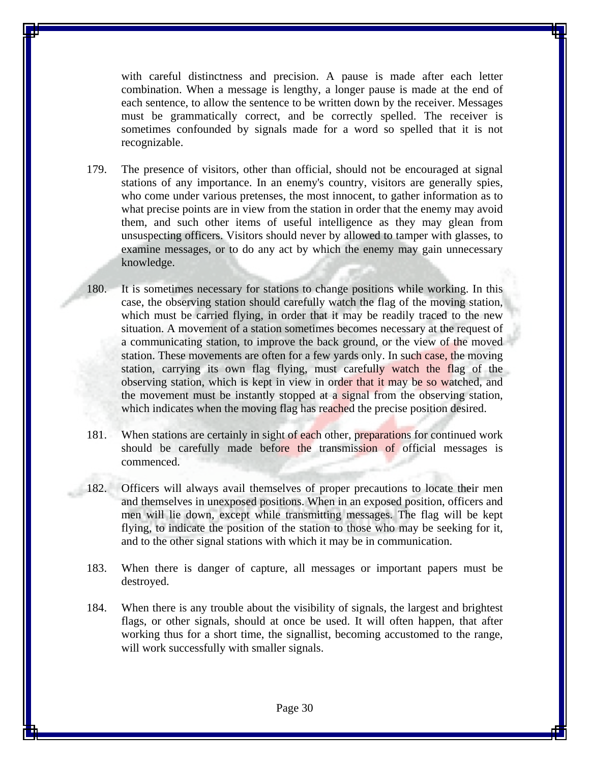with careful distinctness and precision. A pause is made after each letter combination. When a message is lengthy, a longer pause is made at the end of each sentence, to allow the sentence to be written down by the receiver. Messages must be grammatically correct, and be correctly spelled. The receiver is sometimes confounded by signals made for a word so spelled that it is not recognizable.

- 179. The presence of visitors, other than official, should not be encouraged at signal stations of any importance. In an enemy's country, visitors are generally spies, who come under various pretenses, the most innocent, to gather information as to what precise points are in view from the station in order that the enemy may avoid them, and such other items of useful intelligence as they may glean from unsuspecting officers. Visitors should never by allowed to tamper with glasses, to examine messages, or to do any act by which the enemy may gain unnecessary knowledge.
- 180. It is sometimes necessary for stations to change positions while working. In this case, the observing station should carefully watch the flag of the moving station, which must be carried flying, in order that it may be readily traced to the new situation. A movement of a station sometimes becomes necessary at the request of a communicating station, to improve the back ground, or the view of the moved station. These movements are often for a few yards only. In such case, the moving station, carrying its own flag flying, must carefully watch the flag of the observing station, which is kept in view in order that it may be so watched, and the movement must be instantly stopped at a signal from the observing station, which indicates when the moving flag has reached the precise position desired.
- 181. When stations are certainly in sight of each other, preparations for continued work should be carefully made before the transmission of official messages is commenced.
- 182. Officers will always avail themselves of proper precautions to locate their men and themselves in unexposed positions. When in an exposed position, officers and men will lie down, except while transmitting messages. The flag will be kept flying, to indicate the position of the station to those who may be seeking for it, and to the other signal stations with which it may be in communication.
- 183. When there is danger of capture, all messages or important papers must be destroyed.
- 184. When there is any trouble about the visibility of signals, the largest and brightest flags, or other signals, should at once be used. It will often happen, that after working thus for a short time, the signallist, becoming accustomed to the range, will work successfully with smaller signals.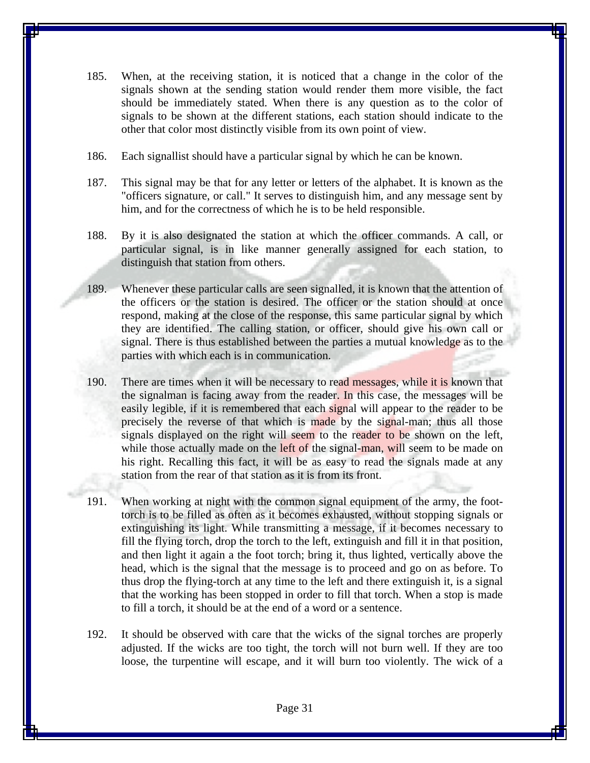- 185. When, at the receiving station, it is noticed that a change in the color of the signals shown at the sending station would render them more visible, the fact should be immediately stated. When there is any question as to the color of signals to be shown at the different stations, each station should indicate to the other that color most distinctly visible from its own point of view.
- 186. Each signallist should have a particular signal by which he can be known.
- 187. This signal may be that for any letter or letters of the alphabet. It is known as the "officers signature, or call." It serves to distinguish him, and any message sent by him, and for the correctness of which he is to be held responsible.
- 188. By it is also designated the station at which the officer commands. A call, or particular signal, is in like manner generally assigned for each station, to distinguish that station from others.
- 189. Whenever these particular calls are seen signalled, it is known that the attention of the officers or the station is desired. The officer or the station should at once respond, making at the close of the response, this same particular signal by which they are identified. The calling station, or officer, should give his own call or signal. There is thus established between the parties a mutual knowledge as to the parties with which each is in communication.
- 190. There are times when it will be necessary to read messages, while it is known that the signalman is facing away from the reader. In this case, the messages will be easily legible, if it is remembered that each signal will appear to the reader to be precisely the reverse of that which is made by the signal-man; thus all those signals displayed on the right will seem to the reader to be shown on the left, while those actually made on the left of the signal-man, will seem to be made on his right. Recalling this fact, it will be as easy to read the signals made at any station from the rear of that station as it is from its front.
- 191. When working at night with the common signal equipment of the army, the foottorch is to be filled as often as it becomes exhausted, without stopping signals or extinguishing its light. While transmitting a message, if it becomes necessary to fill the flying torch, drop the torch to the left, extinguish and fill it in that position, and then light it again a the foot torch; bring it, thus lighted, vertically above the head, which is the signal that the message is to proceed and go on as before. To thus drop the flying-torch at any time to the left and there extinguish it, is a signal that the working has been stopped in order to fill that torch. When a stop is made to fill a torch, it should be at the end of a word or a sentence.
- 192. It should be observed with care that the wicks of the signal torches are properly adjusted. If the wicks are too tight, the torch will not burn well. If they are too loose, the turpentine will escape, and it will burn too violently. The wick of a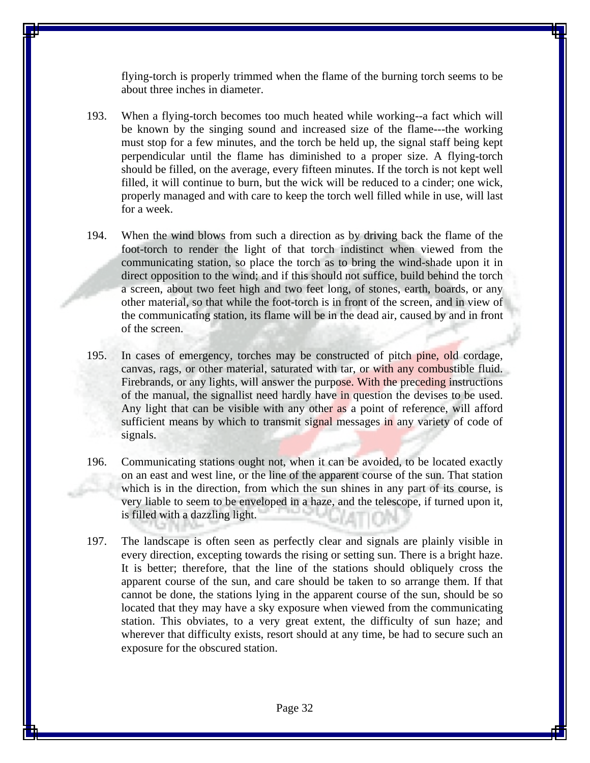flying-torch is properly trimmed when the flame of the burning torch seems to be about three inches in diameter.

- 193. When a flying-torch becomes too much heated while working--a fact which will be known by the singing sound and increased size of the flame---the working must stop for a few minutes, and the torch be held up, the signal staff being kept perpendicular until the flame has diminished to a proper size. A flying-torch should be filled, on the average, every fifteen minutes. If the torch is not kept well filled, it will continue to burn, but the wick will be reduced to a cinder; one wick, properly managed and with care to keep the torch well filled while in use, will last for a week.
- 194. When the wind blows from such a direction as by driving back the flame of the foot-torch to render the light of that torch indistinct when viewed from the communicating station, so place the torch as to bring the wind-shade upon it in direct opposition to the wind; and if this should not suffice, build behind the torch a screen, about two feet high and two feet long, of stones, earth, boards, or any other material, so that while the foot-torch is in front of the screen, and in view of the communicating station, its flame will be in the dead air, caused by and in front of the screen.
- 195. In cases of emergency, torches may be constructed of pitch pine, old cordage, canvas, rags, or other material, saturated with tar, or with any combustible fluid. Firebrands, or any lights, will answer the purpose. With the preceding instructions of the manual, the signallist need hardly have in question the devises to be used. Any light that can be visible with any other as a point of reference, will afford sufficient means by which to transmit signal messages in any variety of code of signals.
- 196. Communicating stations ought not, when it can be avoided, to be located exactly on an east and west line, or the line of the apparent course of the sun. That station which is in the direction, from which the sun shines in any part of its course, is very liable to seem to be enveloped in a haze, and the telescope, if turned upon it, is filled with a dazzling light.
- 197. The landscape is often seen as perfectly clear and signals are plainly visible in every direction, excepting towards the rising or setting sun. There is a bright haze. It is better; therefore, that the line of the stations should obliquely cross the apparent course of the sun, and care should be taken to so arrange them. If that cannot be done, the stations lying in the apparent course of the sun, should be so located that they may have a sky exposure when viewed from the communicating station. This obviates, to a very great extent, the difficulty of sun haze; and wherever that difficulty exists, resort should at any time, be had to secure such an exposure for the obscured station.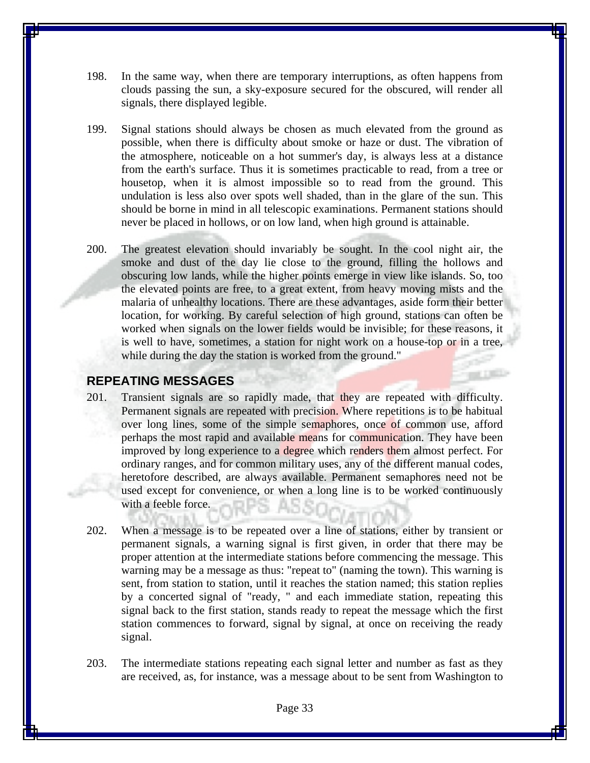- 198. In the same way, when there are temporary interruptions, as often happens from clouds passing the sun, a sky-exposure secured for the obscured, will render all signals, there displayed legible.
- 199. Signal stations should always be chosen as much elevated from the ground as possible, when there is difficulty about smoke or haze or dust. The vibration of the atmosphere, noticeable on a hot summer's day, is always less at a distance from the earth's surface. Thus it is sometimes practicable to read, from a tree or housetop, when it is almost impossible so to read from the ground. This undulation is less also over spots well shaded, than in the glare of the sun. This should be borne in mind in all telescopic examinations. Permanent stations should never be placed in hollows, or on low land, when high ground is attainable.
- 200. The greatest elevation should invariably be sought. In the cool night air, the smoke and dust of the day lie close to the ground, filling the hollows and obscuring low lands, while the higher points emerge in view like islands. So, too the elevated points are free, to a great extent, from heavy moving mists and the malaria of unhealthy locations. There are these advantages, aside form their better location, for working. By careful selection of high ground, stations can often be worked when signals on the lower fields would be invisible; for these reasons, it is well to have, sometimes, a station for night work on a house-top or in a tree, while during the day the station is worked from the ground."

# **REPEATING MESSAGES**

- 201. Transient signals are so rapidly made, that they are repeated with difficulty. Permanent signals are repeated with precision. Where repetitions is to be habitual over long lines, some of the simple semaphores, once of common use, afford perhaps the most rapid and available means for communication. They have been improved by long experience to a degree which renders them almost perfect. For ordinary ranges, and for common military uses, any of the different manual codes, heretofore described, are always available. Permanent semaphores need not be used except for convenience, or when a long line is to be worked continuously with a feeble force.
- 202. When a message is to be repeated over a line of stations, either by transient or permanent signals, a warning signal is first given, in order that there may be proper attention at the intermediate stations before commencing the message. This warning may be a message as thus: "repeat to" (naming the town). This warning is sent, from station to station, until it reaches the station named; this station replies by a concerted signal of "ready, " and each immediate station, repeating this signal back to the first station, stands ready to repeat the message which the first station commences to forward, signal by signal, at once on receiving the ready signal.
- 203. The intermediate stations repeating each signal letter and number as fast as they are received, as, for instance, was a message about to be sent from Washington to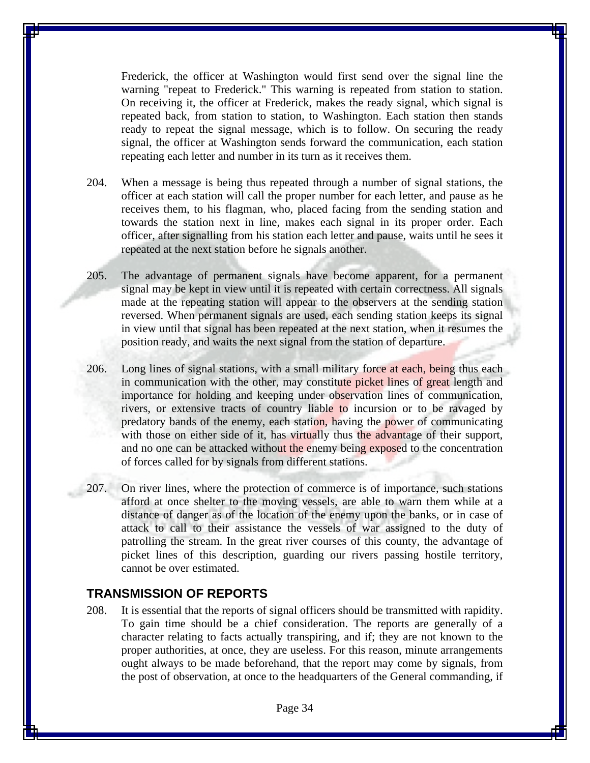Frederick, the officer at Washington would first send over the signal line the warning "repeat to Frederick." This warning is repeated from station to station. On receiving it, the officer at Frederick, makes the ready signal, which signal is repeated back, from station to station, to Washington. Each station then stands ready to repeat the signal message, which is to follow. On securing the ready signal, the officer at Washington sends forward the communication, each station repeating each letter and number in its turn as it receives them.

- 204. When a message is being thus repeated through a number of signal stations, the officer at each station will call the proper number for each letter, and pause as he receives them, to his flagman, who, placed facing from the sending station and towards the station next in line, makes each signal in its proper order. Each officer, after signalling from his station each letter and pause, waits until he sees it repeated at the next station before he signals another.
- 205. The advantage of permanent signals have become apparent, for a permanent signal may be kept in view until it is repeated with certain correctness. All signals made at the repeating station will appear to the observers at the sending station reversed. When permanent signals are used, each sending station keeps its signal in view until that signal has been repeated at the next station, when it resumes the position ready, and waits the next signal from the station of departure.
- 206. Long lines of signal stations, with a small military force at each, being thus each in communication with the other, may constitute picket lines of great length and importance for holding and keeping under observation lines of communication, rivers, or extensive tracts of country liable to incursion or to be ravaged by predatory bands of the enemy, each station, having the power of communicating with those on either side of it, has virtually thus the advantage of their support, and no one can be attacked without the enemy being exposed to the concentration of forces called for by signals from different stations.
- 207. On river lines, where the protection of commerce is of importance, such stations afford at once shelter to the moving vessels, are able to warn them while at a distance of danger as of the location of the enemy upon the banks, or in case of attack to call to their assistance the vessels of war assigned to the duty of patrolling the stream. In the great river courses of this county, the advantage of picket lines of this description, guarding our rivers passing hostile territory, cannot be over estimated.

#### **TRANSMISSION OF REPORTS**

208. It is essential that the reports of signal officers should be transmitted with rapidity. To gain time should be a chief consideration. The reports are generally of a character relating to facts actually transpiring, and if; they are not known to the proper authorities, at once, they are useless. For this reason, minute arrangements ought always to be made beforehand, that the report may come by signals, from the post of observation, at once to the headquarters of the General commanding, if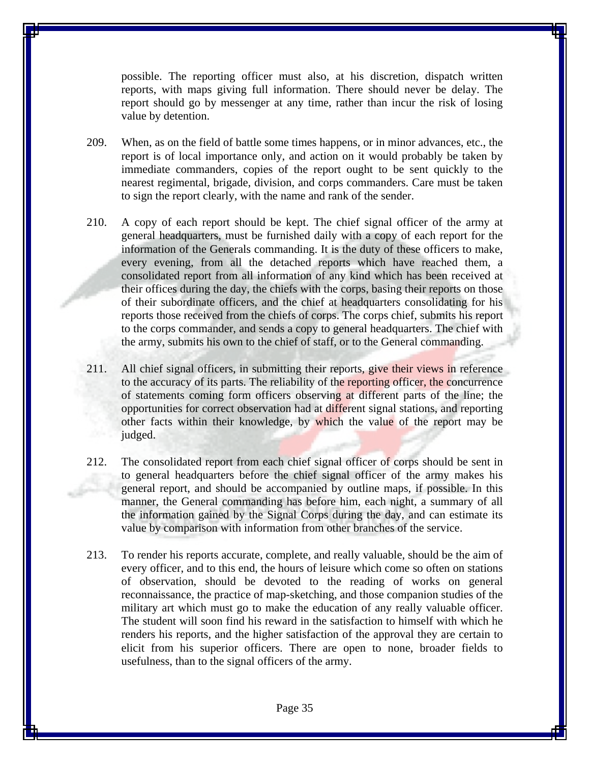possible. The reporting officer must also, at his discretion, dispatch written reports, with maps giving full information. There should never be delay. The report should go by messenger at any time, rather than incur the risk of losing value by detention.

- 209. When, as on the field of battle some times happens, or in minor advances, etc., the report is of local importance only, and action on it would probably be taken by immediate commanders, copies of the report ought to be sent quickly to the nearest regimental, brigade, division, and corps commanders. Care must be taken to sign the report clearly, with the name and rank of the sender.
- 210. A copy of each report should be kept. The chief signal officer of the army at general headquarters, must be furnished daily with a copy of each report for the information of the Generals commanding. It is the duty of these officers to make, every evening, from all the detached reports which have reached them, a consolidated report from all information of any kind which has been received at their offices during the day, the chiefs with the corps, basing their reports on those of their subordinate officers, and the chief at headquarters consolidating for his reports those received from the chiefs of corps. The corps chief, submits his report to the corps commander, and sends a copy to general headquarters. The chief with the army, submits his own to the chief of staff, or to the General commanding.
- 211. All chief signal officers, in submitting their reports, give their views in reference to the accuracy of its parts. The reliability of the reporting officer, the concurrence of statements coming form officers observing at different parts of the line; the opportunities for correct observation had at different signal stations, and reporting other facts within their knowledge, by which the value of the report may be judged.
- 212. The consolidated report from each chief signal officer of corps should be sent in to general headquarters before the chief signal officer of the army makes his general report, and should be accompanied by outline maps, if possible. In this manner, the General commanding has before him, each night, a summary of all the information gained by the Signal Corps during the day, and can estimate its value by comparison with information from other branches of the service.
- 213. To render his reports accurate, complete, and really valuable, should be the aim of every officer, and to this end, the hours of leisure which come so often on stations of observation, should be devoted to the reading of works on general reconnaissance, the practice of map-sketching, and those companion studies of the military art which must go to make the education of any really valuable officer. The student will soon find his reward in the satisfaction to himself with which he renders his reports, and the higher satisfaction of the approval they are certain to elicit from his superior officers. There are open to none, broader fields to usefulness, than to the signal officers of the army.